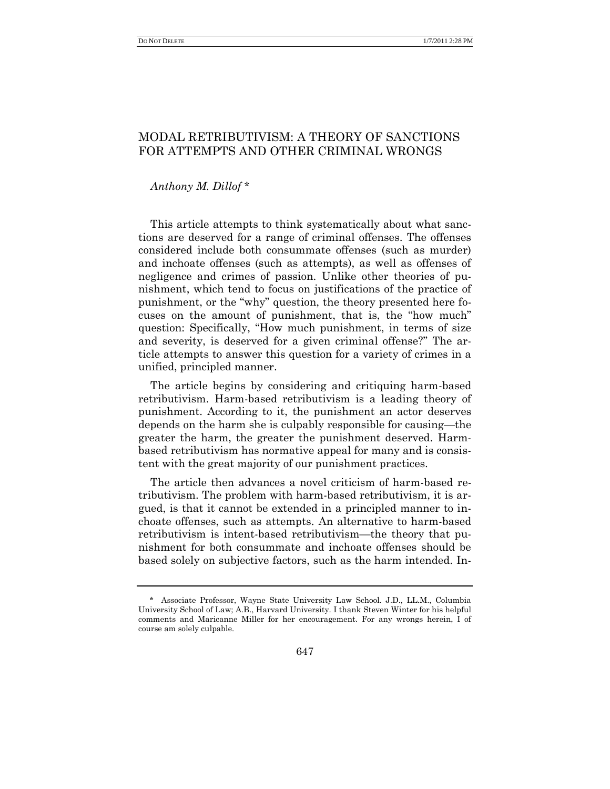# MODAL RETRIBUTIVISM: A THEORY OF SANCTIONS FOR ATTEMPTS AND OTHER CRIMINAL WRONGS

# *Anthony M. Dillof* \*

This article attempts to think systematically about what sanctions are deserved for a range of criminal offenses. The offenses considered include both consummate offenses (such as murder) and inchoate offenses (such as attempts), as well as offenses of negligence and crimes of passion. Unlike other theories of punishment, which tend to focus on justifications of the practice of punishment, or the "why" question, the theory presented here focuses on the amount of punishment, that is, the "how much" question: Specifically, "How much punishment, in terms of size and severity, is deserved for a given criminal offense?" The article attempts to answer this question for a variety of crimes in a unified, principled manner.

The article begins by considering and critiquing harm-based retributivism. Harm-based retributivism is a leading theory of punishment. According to it, the punishment an actor deserves depends on the harm she is culpably responsible for causing—the greater the harm, the greater the punishment deserved. Harmbased retributivism has normative appeal for many and is consistent with the great majority of our punishment practices.

The article then advances a novel criticism of harm-based retributivism. The problem with harm-based retributivism, it is argued, is that it cannot be extended in a principled manner to inchoate offenses, such as attempts. An alternative to harm-based retributivism is intent-based retributivism—the theory that punishment for both consummate and inchoate offenses should be based solely on subjective factors, such as the harm intended. In-

 <sup>\*</sup> Associate Professor, Wayne State University Law School. J.D., LL.M., Columbia University School of Law; A.B., Harvard University. I thank Steven Winter for his helpful comments and Maricanne Miller for her encouragement. For any wrongs herein, I of course am solely culpable.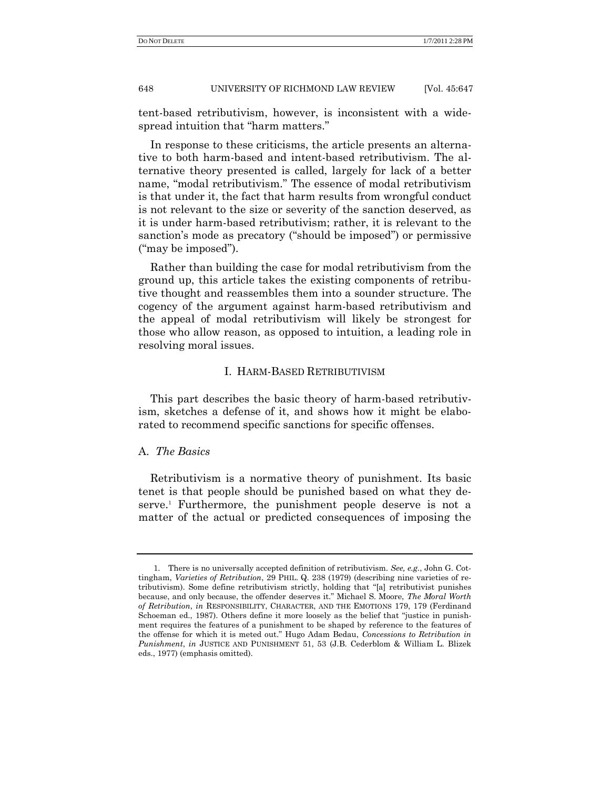tent-based retributivism, however, is inconsistent with a widespread intuition that "harm matters."

In response to these criticisms, the article presents an alternative to both harm-based and intent-based retributivism. The alternative theory presented is called, largely for lack of a better name, "modal retributivism." The essence of modal retributivism is that under it, the fact that harm results from wrongful conduct is not relevant to the size or severity of the sanction deserved, as it is under harm-based retributivism; rather, it is relevant to the sanction's mode as precatory ("should be imposed") or permissive ("may be imposed").

Rather than building the case for modal retributivism from the ground up, this article takes the existing components of retributive thought and reassembles them into a sounder structure. The cogency of the argument against harm-based retributivism and the appeal of modal retributivism will likely be strongest for those who allow reason, as opposed to intuition, a leading role in resolving moral issues.

# I. HARM-BASED RETRIBUTIVISM

This part describes the basic theory of harm-based retributivism, sketches a defense of it, and shows how it might be elaborated to recommend specific sanctions for specific offenses.

## A. *The Basics*

Retributivism is a normative theory of punishment. Its basic tenet is that people should be punished based on what they deserve.<sup>1</sup> Furthermore, the punishment people deserve is not a matter of the actual or predicted consequences of imposing the

<sup>1.</sup> There is no universally accepted definition of retributivism. *See, e.g.*, John G. Cottingham, *Varieties of Retribution*, 29 PHIL. Q. 238 (1979) (describing nine varieties of retributivism). Some define retributivism strictly, holding that "[a] retributivist punishes because, and only because, the offender deserves it.‖ Michael S. Moore, *The Moral Worth of Retribution*, *in* RESPONSIBILITY, CHARACTER, AND THE EMOTIONS 179, 179 (Ferdinand Schoeman ed., 1987). Others define it more loosely as the belief that "justice in punishment requires the features of a punishment to be shaped by reference to the features of the offense for which it is meted out.‖ Hugo Adam Bedau, *Concessions to Retribution in Punishment*, *in* JUSTICE AND PUNISHMENT 51, 53 (J.B. Cederblom & William L. Blizek eds., 1977) (emphasis omitted).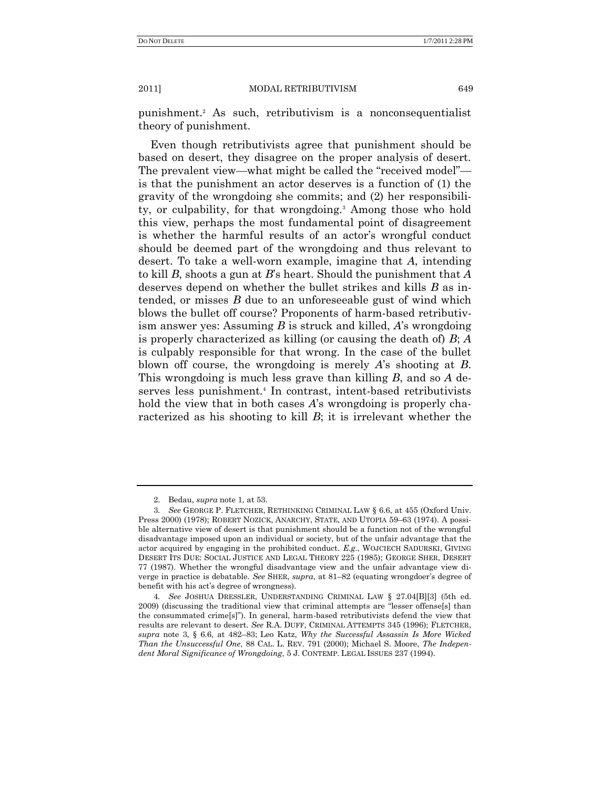punishment.<sup>2</sup> As such, retributivism is a nonconsequentialist theory of punishment.

Even though retributivists agree that punishment should be based on desert, they disagree on the proper analysis of desert. The prevalent view—what might be called the "received model" is that the punishment an actor deserves is a function of (1) the gravity of the wrongdoing she commits; and (2) her responsibility, or culpability, for that wrongdoing.<sup>3</sup> Among those who hold this view, perhaps the most fundamental point of disagreement is whether the harmful results of an actor's wrongful conduct should be deemed part of the wrongdoing and thus relevant to desert. To take a well-worn example, imagine that *A*, intending to kill *B*, shoots a gun at *B*'s heart. Should the punishment that *A* deserves depend on whether the bullet strikes and kills *B* as intended, or misses *B* due to an unforeseeable gust of wind which blows the bullet off course? Proponents of harm-based retributivism answer yes: Assuming *B* is struck and killed, *A*'s wrongdoing is properly characterized as killing (or causing the death of) *B*; *A* is culpably responsible for that wrong. In the case of the bullet blown off course, the wrongdoing is merely *A*'s shooting at *B*. This wrongdoing is much less grave than killing *B*, and so *A* deserves less punishment.<sup>4</sup> In contrast, intent-based retributivists hold the view that in both cases *A*'s wrongdoing is properly characterized as his shooting to kill *B*; it is irrelevant whether the

<sup>2.</sup> Bedau, *supra* note 1, at 53.

<sup>3</sup>*. See* GEORGE P. FLETCHER, RETHINKING CRIMINAL LAW § 6.6, at 455 (Oxford Univ. Press 2000) (1978); ROBERT NOZICK, ANARCHY, STATE, AND UTOPIA 59–63 (1974). A possible alternative view of desert is that punishment should be a function not of the wrongful disadvantage imposed upon an individual or society, but of the unfair advantage that the actor acquired by engaging in the prohibited conduct. *E.g.*, WOJCIECH SADURSKI, GIVING DESERT ITS DUE: SOCIAL JUSTICE AND LEGAL THEORY 225 (1985); GEORGE SHER, DESERT 77 (1987). Whether the wrongful disadvantage view and the unfair advantage view diverge in practice is debatable. *See* SHER, *supra*, at 81–82 (equating wrongdoer's degree of benefit with his act's degree of wrongness).

<sup>4</sup>*. See* JOSHUA DRESSLER, UNDERSTANDING CRIMINAL LAW § 27.04[B][3] (5th ed. 2009) (discussing the traditional view that criminal attempts are "lesser offense[s] than the consummated crime[s]‖). In general, harm-based retributivists defend the view that results are relevant to desert. *See* R.A. DUFF, CRIMINAL ATTEMPTS 345 (1996); FLETCHER, *supra* note 3, § 6.6, at 482–83; Leo Katz, *Why the Successful Assassin Is More Wicked Than the Unsuccessful One*, 88 CAL. L. REV. 791 (2000); Michael S. Moore, *The Independent Moral Significance of Wrongdoing*, 5 J. CONTEMP. LEGAL ISSUES 237 (1994).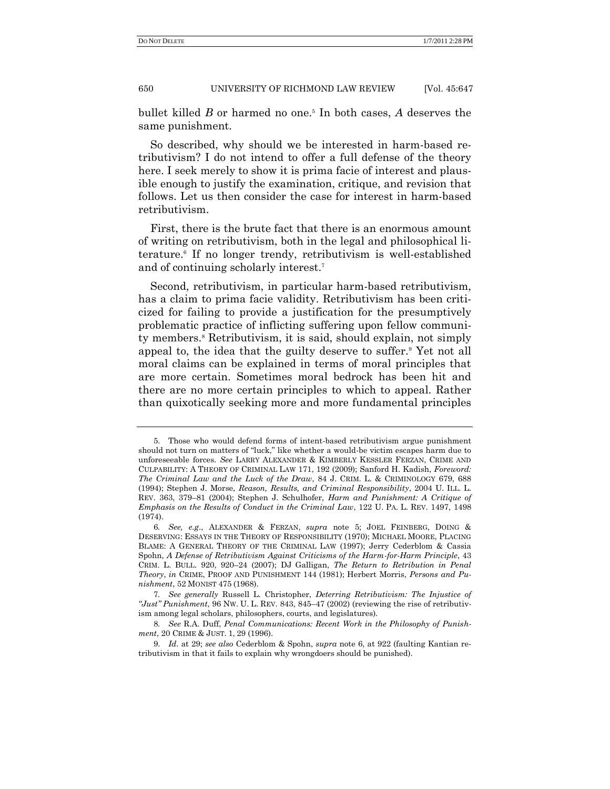bullet killed *B* or harmed no one.<sup>5</sup> In both cases, *A* deserves the same punishment.

So described, why should we be interested in harm-based retributivism? I do not intend to offer a full defense of the theory here. I seek merely to show it is prima facie of interest and plausible enough to justify the examination, critique, and revision that follows. Let us then consider the case for interest in harm-based retributivism.

First, there is the brute fact that there is an enormous amount of writing on retributivism, both in the legal and philosophical literature.<sup>6</sup> If no longer trendy, retributivism is well-established and of continuing scholarly interest.<sup>7</sup>

Second, retributivism, in particular harm-based retributivism, has a claim to prima facie validity. Retributivism has been criticized for failing to provide a justification for the presumptively problematic practice of inflicting suffering upon fellow community members.<sup>8</sup> Retributivism, it is said, should explain, not simply appeal to, the idea that the guilty deserve to suffer.<sup>9</sup> Yet not all moral claims can be explained in terms of moral principles that are more certain. Sometimes moral bedrock has been hit and there are no more certain principles to which to appeal. Rather than quixotically seeking more and more fundamental principles

<sup>5.</sup> Those who would defend forms of intent-based retributivism argue punishment should not turn on matters of "luck," like whether a would-be victim escapes harm due to unforeseeable forces. *See* LARRY ALEXANDER & KIMBERLY KESSLER FERZAN, CRIME AND CULPABILITY: A THEORY OF CRIMINAL LAW 171, 192 (2009); Sanford H. Kadish, *Foreword: The Criminal Law and the Luck of the Draw*, 84 J. CRIM. L. & CRIMINOLOGY 679, 688 (1994); Stephen J. Morse, *Reason, Results, and Criminal Responsibility*, 2004 U. ILL. L. REV. 363, 379–81 (2004); Stephen J. Schulhofer, *Harm and Punishment: A Critique of Emphasis on the Results of Conduct in the Criminal Law*, 122 U. PA. L. REV. 1497, 1498 (1974).

<sup>6</sup>*. See, e.g*., ALEXANDER & FERZAN, *supra* note 5; JOEL FEINBERG, DOING & DESERVING: ESSAYS IN THE THEORY OF RESPONSIBILITY (1970); MICHAEL MOORE, PLACING BLAME: A GENERAL THEORY OF THE CRIMINAL LAW (1997); Jerry Cederblom & Cassia Spohn, *A Defense of Retributivism Against Criticisms of the Harm-for-Harm Principle*, 43 CRIM. L. BULL. 920, 920–24 (2007); DJ Galligan, *The Return to Retribution in Penal Theory*, *in* CRIME, PROOF AND PUNISHMENT 144 (1981); Herbert Morris, *Persons and Punishment*, 52 MONIST 475 (1968).

<sup>7</sup>*. See generally* Russell L. Christopher, *Deterring Retributivism: The Injustice of "Just" Punishment*, 96 NW. U. L. REV. 843, 845–47 (2002) (reviewing the rise of retributivism among legal scholars, philosophers, courts, and legislatures).

<sup>8</sup>*. See* R.A. Duff, *Penal Communications: Recent Work in the Philosophy of Punishment*, 20 CRIME & JUST. 1, 29 (1996).

<sup>9.</sup> *Id*. at 29; *see also* Cederblom & Spohn, *supra* note 6, at 922 (faulting Kantian retributivism in that it fails to explain why wrongdoers should be punished).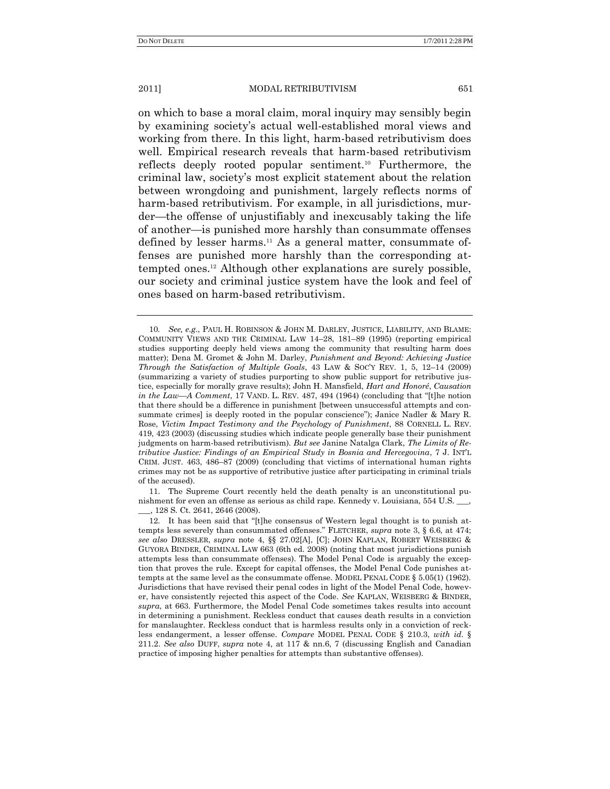on which to base a moral claim, moral inquiry may sensibly begin by examining society's actual well-established moral views and working from there. In this light, harm-based retributivism does well. Empirical research reveals that harm-based retributivism reflects deeply rooted popular sentiment.<sup>10</sup> Furthermore, the criminal law, society's most explicit statement about the relation between wrongdoing and punishment, largely reflects norms of harm-based retributivism. For example, in all jurisdictions, murder—the offense of unjustifiably and inexcusably taking the life of another—is punished more harshly than consummate offenses defined by lesser harms.<sup>11</sup> As a general matter, consummate offenses are punished more harshly than the corresponding attempted ones.<sup>12</sup> Although other explanations are surely possible, our society and criminal justice system have the look and feel of ones based on harm-based retributivism.

11. The Supreme Court recently held the death penalty is an unconstitutional punishment for even an offense as serious as child rape. Kennedy v. Louisiana, 554 U.S. \_\_\_, \_\_\_, 128 S. Ct. 2641, 2646 (2008).

<sup>10</sup>*. See, e.g*., PAUL H. ROBINSON & JOHN M. DARLEY, JUSTICE, LIABILITY, AND BLAME: COMMUNITY VIEWS AND THE CRIMINAL LAW 14–28, 181–89 (1995) (reporting empirical studies supporting deeply held views among the community that resulting harm does matter); Dena M. Gromet & John M. Darley, *Punishment and Beyond: Achieving Justice Through the Satisfaction of Multiple Goals*, 43 LAW & SOC'Y REV. 1, 5, 12–14 (2009) (summarizing a variety of studies purporting to show public support for retributive justice, especially for morally grave results); John H. Mansfield, *Hart and Honoré*, *Causation in the Law*—*A* Comment, 17 VAND. L. REV. 487, 494 (1964) (concluding that "[t]he notion that there should be a difference in punishment [between unsuccessful attempts and consummate crimes] is deeply rooted in the popular conscience"); Janice Nadler & Mary R. Rose, *Victim Impact Testimony and the Psychology of Punishment*, 88 CORNELL L. REV. 419, 423 (2003) (discussing studies which indicate people generally base their punishment judgments on harm-based retributivism). *But see* Janine Natalga Clark, *The Limits of Retributive Justice: Findings of an Empirical Study in Bosnia and Hercegovina*, 7 J. INT'L CRIM. JUST. 463, 486–87 (2009) (concluding that victims of international human rights crimes may not be as supportive of retributive justice after participating in criminal trials of the accused).

<sup>12.</sup> It has been said that " $[t]$ he consensus of Western legal thought is to punish attempts less severely than consummated offenses.‖ FLETCHER, *supra* note 3, § 6.6, at 474; *see also* DRESSLER, *supra* note 4, §§ 27.02[A], [C]; JOHN KAPLAN, ROBERT WEISBERG & GUYORA BINDER, CRIMINAL LAW 663 (6th ed. 2008) (noting that most jurisdictions punish attempts less than consummate offenses). The Model Penal Code is arguably the exception that proves the rule. Except for capital offenses, the Model Penal Code punishes attempts at the same level as the consummate offense. MODEL PENAL CODE § 5.05(1) (1962). Jurisdictions that have revised their penal codes in light of the Model Penal Code, however, have consistently rejected this aspect of the Code. *See* KAPLAN, WEISBERG & BINDER, *supra*, at 663. Furthermore, the Model Penal Code sometimes takes results into account in determining a punishment. Reckless conduct that causes death results in a conviction for manslaughter. Reckless conduct that is harmless results only in a conviction of reckless endangerment, a lesser offense. *Compare* MODEL PENAL CODE § 210.3, *with id*. § 211.2. *See also* DUFF, *supra* note 4, at 117 & nn.6, 7 (discussing English and Canadian practice of imposing higher penalties for attempts than substantive offenses).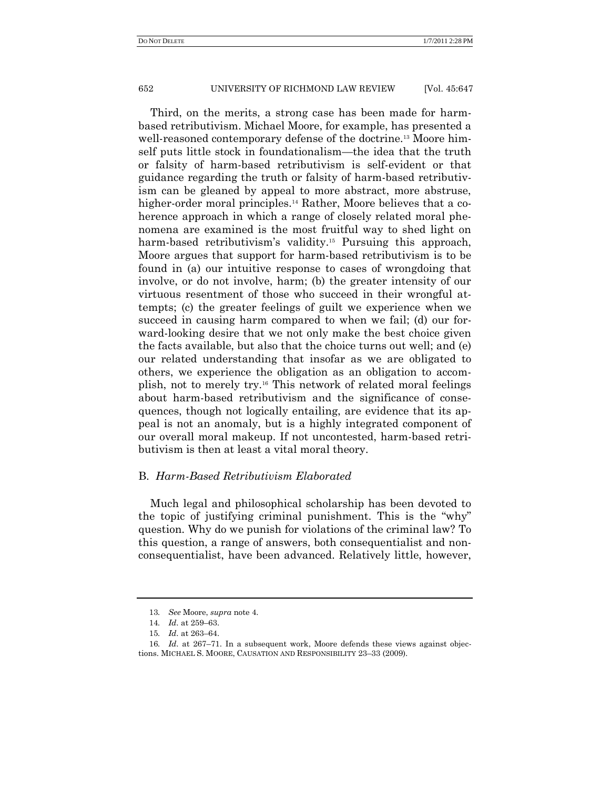Third, on the merits, a strong case has been made for harmbased retributivism. Michael Moore, for example, has presented a well-reasoned contemporary defense of the doctrine.<sup>13</sup> Moore himself puts little stock in foundationalism—the idea that the truth or falsity of harm-based retributivism is self-evident or that guidance regarding the truth or falsity of harm-based retributivism can be gleaned by appeal to more abstract, more abstruse, higher-order moral principles.<sup>14</sup> Rather, Moore believes that a coherence approach in which a range of closely related moral phenomena are examined is the most fruitful way to shed light on harm-based retributivism's validity.<sup>15</sup> Pursuing this approach, Moore argues that support for harm-based retributivism is to be found in (a) our intuitive response to cases of wrongdoing that involve, or do not involve, harm; (b) the greater intensity of our virtuous resentment of those who succeed in their wrongful attempts; (c) the greater feelings of guilt we experience when we succeed in causing harm compared to when we fail; (d) our forward-looking desire that we not only make the best choice given the facts available, but also that the choice turns out well; and (e) our related understanding that insofar as we are obligated to others, we experience the obligation as an obligation to accomplish, not to merely try.<sup>16</sup> This network of related moral feelings about harm-based retributivism and the significance of consequences, though not logically entailing, are evidence that its appeal is not an anomaly, but is a highly integrated component of our overall moral makeup. If not uncontested, harm-based retributivism is then at least a vital moral theory.

# B. *Harm-Based Retributivism Elaborated*

Much legal and philosophical scholarship has been devoted to the topic of justifying criminal punishment. This is the "why" question. Why do we punish for violations of the criminal law? To this question, a range of answers, both consequentialist and nonconsequentialist, have been advanced. Relatively little, however,

<sup>13</sup>*. See* Moore, *supra* note 4.

<sup>14</sup>*. Id*. at 259–63.

<sup>15</sup>*. Id*. at 263–64.

<sup>16</sup>*. Id*. at 267–71. In a subsequent work, Moore defends these views against objections. MICHAEL S. MOORE, CAUSATION AND RESPONSIBILITY 23–33 (2009).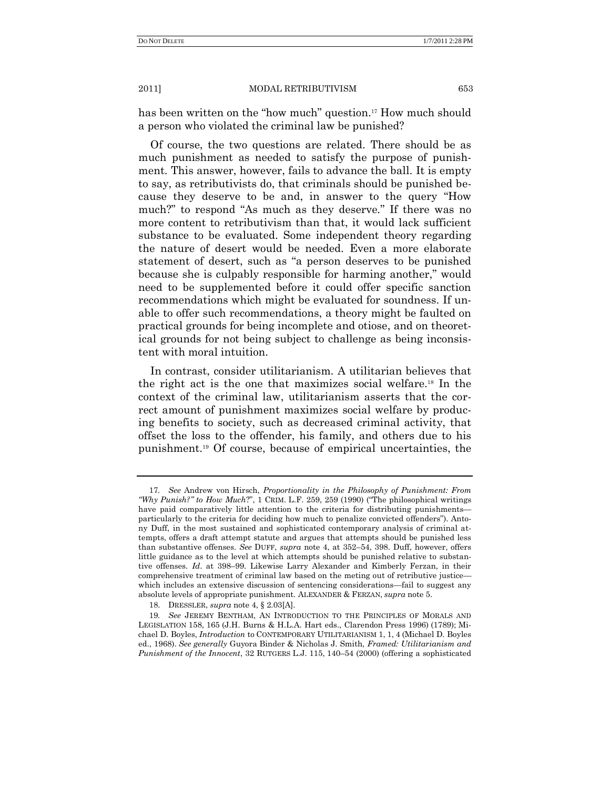has been written on the "how much" question.<sup>17</sup> How much should a person who violated the criminal law be punished?

Of course, the two questions are related. There should be as much punishment as needed to satisfy the purpose of punishment. This answer, however, fails to advance the ball. It is empty to say, as retributivists do, that criminals should be punished because they deserve to be and, in answer to the query "How much?" to respond "As much as they deserve." If there was no more content to retributivism than that, it would lack sufficient substance to be evaluated. Some independent theory regarding the nature of desert would be needed. Even a more elaborate statement of desert, such as "a person deserves to be punished because she is culpably responsible for harming another," would need to be supplemented before it could offer specific sanction recommendations which might be evaluated for soundness. If unable to offer such recommendations, a theory might be faulted on practical grounds for being incomplete and otiose, and on theoretical grounds for not being subject to challenge as being inconsistent with moral intuition.

In contrast, consider utilitarianism. A utilitarian believes that the right act is the one that maximizes social welfare.<sup>18</sup> In the context of the criminal law, utilitarianism asserts that the correct amount of punishment maximizes social welfare by producing benefits to society, such as decreased criminal activity, that offset the loss to the offender, his family, and others due to his punishment.<sup>19</sup> Of course, because of empirical uncertainties, the

<sup>17</sup>*. See* Andrew von Hirsch, *Proportionality in the Philosophy of Punishment: From "Why Punish?" to How Much?",* 1 CRIM. L.F. 259, 259 (1990) ("The philosophical writings have paid comparatively little attention to the criteria for distributing punishments particularly to the criteria for deciding how much to penalize convicted offenders"). Antony Duff, in the most sustained and sophisticated contemporary analysis of criminal attempts, offers a draft attempt statute and argues that attempts should be punished less than substantive offenses. *See* DUFF, *supra* note 4, at 352–54, 398. Duff, however, offers little guidance as to the level at which attempts should be punished relative to substantive offenses. *Id*. at 398–99. Likewise Larry Alexander and Kimberly Ferzan, in their comprehensive treatment of criminal law based on the meting out of retributive justice which includes an extensive discussion of sentencing considerations—fail to suggest any absolute levels of appropriate punishment. ALEXANDER & FERZAN, *supra* note 5.

<sup>18.</sup> DRESSLER, *supra* note 4, § 2.03[A].

<sup>19</sup>*. See* JEREMY BENTHAM, AN INTRODUCTION TO THE PRINCIPLES OF MORALS AND LEGISLATION 158, 165 (J.H. Burns & H.L.A. Hart eds., Clarendon Press 1996) (1789); Michael D. Boyles, *Introduction* to CONTEMPORARY UTILITARIANISM 1, 1, 4 (Michael D. Boyles ed., 1968). *See generally* Guyora Binder & Nicholas J. Smith, *Framed: Utilitarianism and Punishment of the Innocent*, 32 RUTGERS L.J. 115, 140–54 (2000) (offering a sophisticated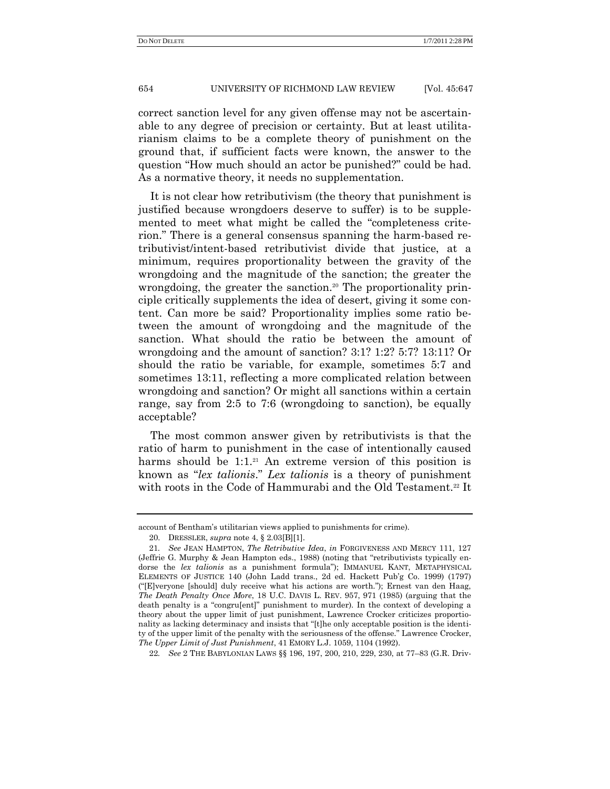correct sanction level for any given offense may not be ascertainable to any degree of precision or certainty. But at least utilitarianism claims to be a complete theory of punishment on the ground that, if sufficient facts were known, the answer to the question "How much should an actor be punished?" could be had. As a normative theory, it needs no supplementation.

It is not clear how retributivism (the theory that punishment is justified because wrongdoers deserve to suffer) is to be supplemented to meet what might be called the "completeness criterion." There is a general consensus spanning the harm-based retributivist/intent-based retributivist divide that justice, at a minimum, requires proportionality between the gravity of the wrongdoing and the magnitude of the sanction; the greater the wrongdoing, the greater the sanction.<sup>20</sup> The proportionality principle critically supplements the idea of desert, giving it some content. Can more be said? Proportionality implies some ratio between the amount of wrongdoing and the magnitude of the sanction. What should the ratio be between the amount of wrongdoing and the amount of sanction? 3:1? 1:2? 5:7? 13:11? Or should the ratio be variable, for example, sometimes 5:7 and sometimes 13:11, reflecting a more complicated relation between wrongdoing and sanction? Or might all sanctions within a certain range, say from 2:5 to 7:6 (wrongdoing to sanction), be equally acceptable?

The most common answer given by retributivists is that the ratio of harm to punishment in the case of intentionally caused harms should be  $1:1.^{21}$  An extreme version of this position is known as "lex talionis." Lex talionis is a theory of punishment with roots in the Code of Hammurabi and the Old Testament.<sup>22</sup> It

account of Bentham's utilitarian views applied to punishments for crime).

<sup>20.</sup> DRESSLER, *supra* note 4, § 2.03[B][1].

<sup>21</sup>*. See* JEAN HAMPTON, *The Retributive Idea*, *in* FORGIVENESS AND MERCY 111, 127 (Jeffrie G. Murphy  $\&$  Jean Hampton eds., 1988) (noting that "retributivists typically endorse the *lex talionis* as a punishment formula"); IMMANUEL KANT, METAPHYSICAL ELEMENTS OF JUSTICE 140 (John Ladd trans., 2d ed. Hackett Pub'g Co. 1999) (1797) (―[E]veryone [should] duly receive what his actions are worth.‖); Ernest van den Haag, *The Death Penalty Once More*, 18 U.C. DAVIS L. REV. 957, 971 (1985) (arguing that the death penalty is a "congru[ent]" punishment to murder). In the context of developing a theory about the upper limit of just punishment, Lawrence Crocker criticizes proportionality as lacking determinacy and insists that "[t]he only acceptable position is the identity of the upper limit of the penalty with the seriousness of the offense." Lawrence Crocker, *The Upper Limit of Just Punishment*, 41 EMORY L.J. 1059, 1104 (1992).

<sup>22</sup>*. See* 2 THE BABYLONIAN LAWS §§ 196, 197, 200, 210, 229, 230, at 77–83 (G.R. Driv-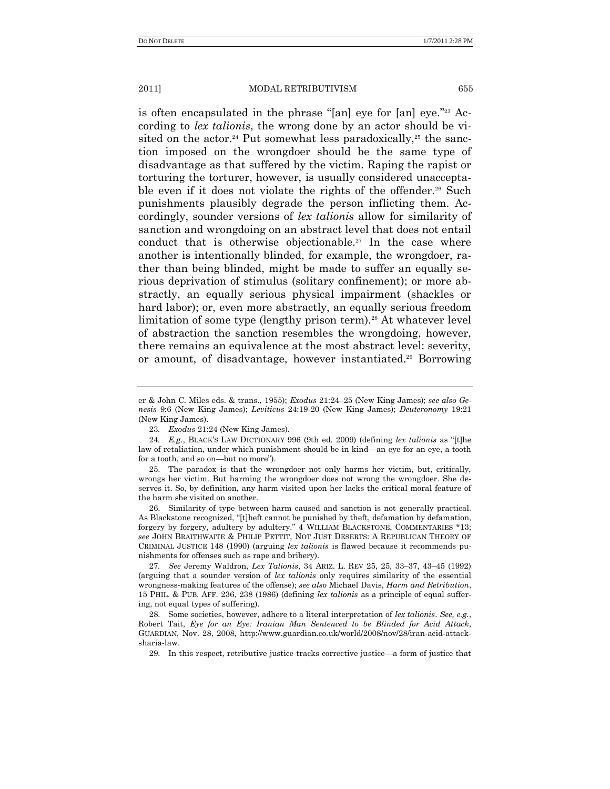is often encapsulated in the phrase " $[an]$  eye for  $[an]$  eye."<sup>23</sup> According to *lex talionis*, the wrong done by an actor should be visited on the actor.<sup>24</sup> Put somewhat less paradoxically,<sup>25</sup> the sanction imposed on the wrongdoer should be the same type of disadvantage as that suffered by the victim. Raping the rapist or torturing the torturer, however, is usually considered unacceptable even if it does not violate the rights of the offender.<sup>26</sup> Such punishments plausibly degrade the person inflicting them. Accordingly, sounder versions of *lex talionis* allow for similarity of sanction and wrongdoing on an abstract level that does not entail conduct that is otherwise objectionable.<sup>27</sup> In the case where another is intentionally blinded, for example, the wrongdoer, rather than being blinded, might be made to suffer an equally serious deprivation of stimulus (solitary confinement); or more abstractly, an equally serious physical impairment (shackles or hard labor); or, even more abstractly, an equally serious freedom limitation of some type (lengthy prison term).<sup>28</sup> At whatever level of abstraction the sanction resembles the wrongdoing, however, there remains an equivalence at the most abstract level: severity, or amount, of disadvantage, however instantiated.<sup>29</sup> Borrowing

er & John C. Miles eds. & trans., 1955); *Exodus* 21:24–25 (New King James); *see also Genesis* 9:6 (New King James); *Leviticus* 24:19-20 (New King James); *Deuteronomy* 19:21 (New King James).

<sup>23</sup>*. Exodus* 21:24 (New King James).

<sup>24.</sup> *E.g.*, BLACK'S LAW DICTIONARY 996 (9th ed. 2009) (defining *lex talionis* as "[t]he law of retaliation, under which punishment should be in kind—an eye for an eye, a tooth for a tooth, and so on—but no more").

<sup>25.</sup> The paradox is that the wrongdoer not only harms her victim, but, critically, wrongs her victim. But harming the wrongdoer does not wrong the wrongdoer. She deserves it. So, by definition, any harm visited upon her lacks the critical moral feature of the harm she visited on another.

<sup>26.</sup> Similarity of type between harm caused and sanction is not generally practical. As Blackstone recognized, "[t]heft cannot be punished by theft, defamation by defamation, forgery by forgery, adultery by adultery." 4 WILLIAM BLACKSTONE, COMMENTARIES \*13; *see* JOHN BRAITHWAITE & PHILIP PETTIT, NOT JUST DESERTS: A REPUBLICAN THEORY OF CRIMINAL JUSTICE 148 (1990) (arguing *lex talionis* is flawed because it recommends punishments for offenses such as rape and bribery).

<sup>27</sup>*. See* Jeremy Waldron, *Lex Talionis*, 34 ARIZ. L. REV 25, 25, 33–37, 43–45 (1992) (arguing that a sounder version of *lex talionis* only requires similarity of the essential wrongness-making features of the offense); *see also* Michael Davis, *Harm and Retribution*, 15 PHIL. & PUB. AFF. 236, 238 (1986) (defining *lex talionis* as a principle of equal suffering, not equal types of suffering).

<sup>28.</sup> Some societies, however, adhere to a literal interpretation of *lex talionis*. *See, e.g.*, Robert Tait, *Eye for an Eye: Iranian Man Sentenced to be Blinded for Acid Attack*, GUARDIAN, Nov. 28, 2008, http://www.guardian.co.uk/world/2008/nov/28/iran-acid-attacksharia-law.

<sup>29.</sup> In this respect, retributive justice tracks corrective justice—a form of justice that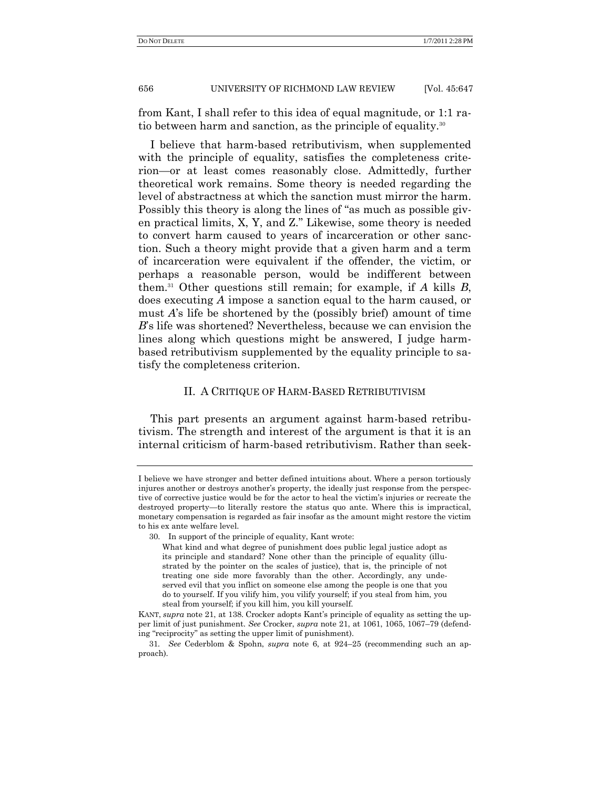from Kant, I shall refer to this idea of equal magnitude, or 1:1 ratio between harm and sanction, as the principle of equality.<sup>30</sup>

I believe that harm-based retributivism, when supplemented with the principle of equality, satisfies the completeness criterion—or at least comes reasonably close. Admittedly, further theoretical work remains. Some theory is needed regarding the level of abstractness at which the sanction must mirror the harm. Possibly this theory is along the lines of "as much as possible given practical limits,  $X$ ,  $Y$ , and  $Z$ ." Likewise, some theory is needed to convert harm caused to years of incarceration or other sanction. Such a theory might provide that a given harm and a term of incarceration were equivalent if the offender, the victim, or perhaps a reasonable person, would be indifferent between them.<sup>31</sup> Other questions still remain; for example, if *A* kills *B*, does executing *A* impose a sanction equal to the harm caused, or must *A*'s life be shortened by the (possibly brief) amount of time *B*'s life was shortened? Nevertheless, because we can envision the lines along which questions might be answered, I judge harmbased retributivism supplemented by the equality principle to satisfy the completeness criterion.

## II. A CRITIQUE OF HARM-BASED RETRIBUTIVISM

This part presents an argument against harm-based retributivism. The strength and interest of the argument is that it is an internal criticism of harm-based retributivism. Rather than seek-

I believe we have stronger and better defined intuitions about. Where a person tortiously injures another or destroys another's property, the ideally just response from the perspective of corrective justice would be for the actor to heal the victim's injuries or recreate the destroyed property—to literally restore the status quo ante. Where this is impractical, monetary compensation is regarded as fair insofar as the amount might restore the victim to his ex ante welfare level.

<sup>30.</sup> In support of the principle of equality, Kant wrote:

What kind and what degree of punishment does public legal justice adopt as its principle and standard? None other than the principle of equality (illustrated by the pointer on the scales of justice), that is, the principle of not treating one side more favorably than the other. Accordingly, any undeserved evil that you inflict on someone else among the people is one that you do to yourself. If you vilify him, you vilify yourself; if you steal from him, you steal from yourself; if you kill him, you kill yourself.

KANT, *supra* note 21, at 138. Crocker adopts Kant's principle of equality as setting the upper limit of just punishment. *See* Crocker, *supra* note 21, at 1061, 1065, 1067–79 (defending "reciprocity" as setting the upper limit of punishment).

<sup>31</sup>*. See* Cederblom & Spohn, *supra* note 6, at 924–25 (recommending such an approach).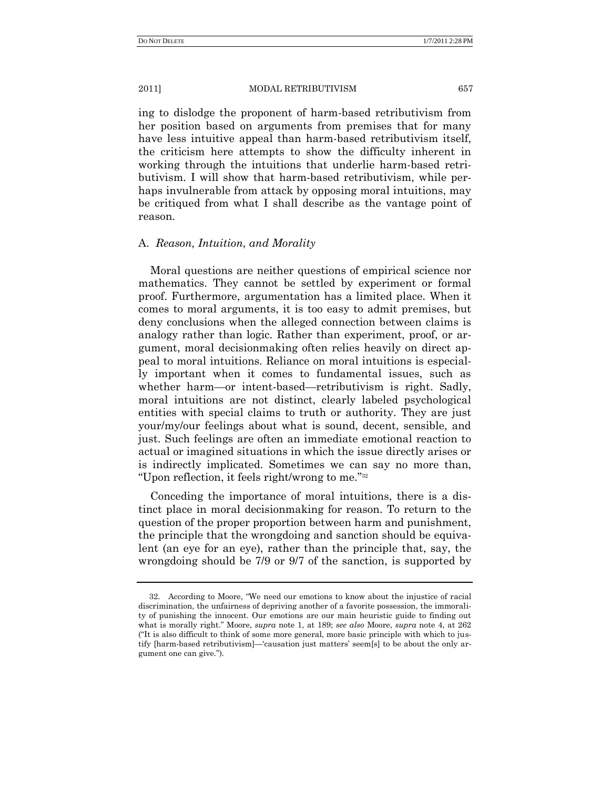ing to dislodge the proponent of harm-based retributivism from her position based on arguments from premises that for many have less intuitive appeal than harm-based retributivism itself, the criticism here attempts to show the difficulty inherent in working through the intuitions that underlie harm-based retributivism. I will show that harm-based retributivism, while perhaps invulnerable from attack by opposing moral intuitions, may be critiqued from what I shall describe as the vantage point of reason.

## A. *Reason, Intuition, and Morality*

Moral questions are neither questions of empirical science nor mathematics. They cannot be settled by experiment or formal proof. Furthermore, argumentation has a limited place. When it comes to moral arguments, it is too easy to admit premises, but deny conclusions when the alleged connection between claims is analogy rather than logic. Rather than experiment, proof, or argument, moral decisionmaking often relies heavily on direct appeal to moral intuitions. Reliance on moral intuitions is especially important when it comes to fundamental issues, such as whether harm—or intent-based—retributivism is right. Sadly, moral intuitions are not distinct, clearly labeled psychological entities with special claims to truth or authority. They are just your/my/our feelings about what is sound, decent, sensible, and just. Such feelings are often an immediate emotional reaction to actual or imagined situations in which the issue directly arises or is indirectly implicated. Sometimes we can say no more than, "Upon reflection, it feels right/wrong to me."<sup>32</sup>

Conceding the importance of moral intuitions, there is a distinct place in moral decisionmaking for reason. To return to the question of the proper proportion between harm and punishment, the principle that the wrongdoing and sanction should be equivalent (an eye for an eye), rather than the principle that, say, the wrongdoing should be 7/9 or 9/7 of the sanction, is supported by

<sup>32.</sup> According to Moore, "We need our emotions to know about the injustice of racial discrimination, the unfairness of depriving another of a favorite possession, the immorality of punishing the innocent. Our emotions are our main heuristic guide to finding out what is morally right.‖ Moore, *supra* note 1, at 189; *see also* Moore, *supra* note 4, at 262 ("It is also difficult to think of some more general, more basic principle with which to justify [harm-based retributivism]—‗causation just matters' seem[s] to be about the only argument one can give.").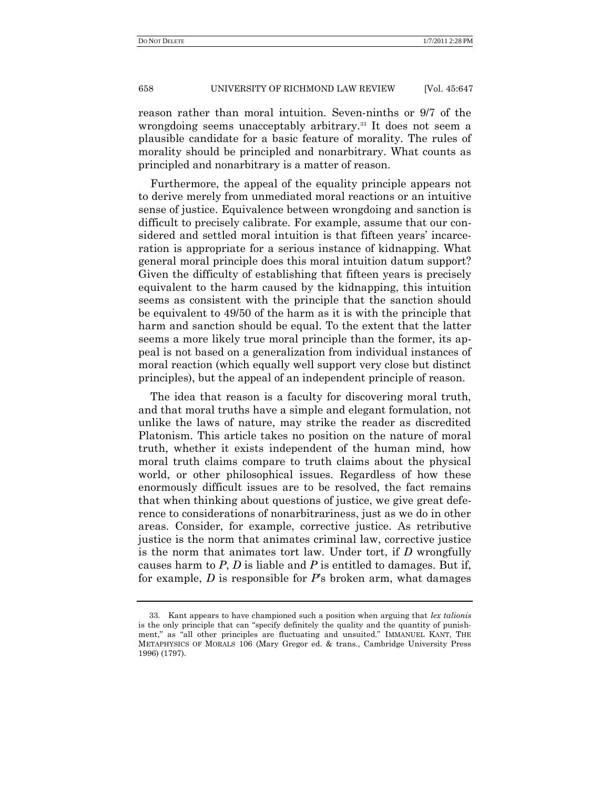reason rather than moral intuition. Seven-ninths or 9/7 of the wrongdoing seems unacceptably arbitrary.<sup>33</sup> It does not seem a plausible candidate for a basic feature of morality. The rules of morality should be principled and nonarbitrary. What counts as principled and nonarbitrary is a matter of reason.

Furthermore, the appeal of the equality principle appears not to derive merely from unmediated moral reactions or an intuitive sense of justice. Equivalence between wrongdoing and sanction is difficult to precisely calibrate. For example, assume that our considered and settled moral intuition is that fifteen years' incarceration is appropriate for a serious instance of kidnapping. What general moral principle does this moral intuition datum support? Given the difficulty of establishing that fifteen years is precisely equivalent to the harm caused by the kidnapping, this intuition seems as consistent with the principle that the sanction should be equivalent to 49/50 of the harm as it is with the principle that harm and sanction should be equal. To the extent that the latter seems a more likely true moral principle than the former, its appeal is not based on a generalization from individual instances of moral reaction (which equally well support very close but distinct principles), but the appeal of an independent principle of reason.

The idea that reason is a faculty for discovering moral truth, and that moral truths have a simple and elegant formulation, not unlike the laws of nature, may strike the reader as discredited Platonism. This article takes no position on the nature of moral truth, whether it exists independent of the human mind, how moral truth claims compare to truth claims about the physical world, or other philosophical issues. Regardless of how these enormously difficult issues are to be resolved, the fact remains that when thinking about questions of justice, we give great deference to considerations of nonarbitrariness, just as we do in other areas. Consider, for example, corrective justice. As retributive justice is the norm that animates criminal law, corrective justice is the norm that animates tort law. Under tort, if *D* wrongfully causes harm to *P*, *D* is liable and *P* is entitled to damages. But if, for example, *D* is responsible for *P*'s broken arm, what damages

<sup>33.</sup> Kant appears to have championed such a position when arguing that *lex talionis* is the only principle that can "specify definitely the quality and the quantity of punishment," as "all other principles are fluctuating and unsuited." IMMANUEL KANT, THE METAPHYSICS OF MORALS 106 (Mary Gregor ed. & trans., Cambridge University Press 1996) (1797).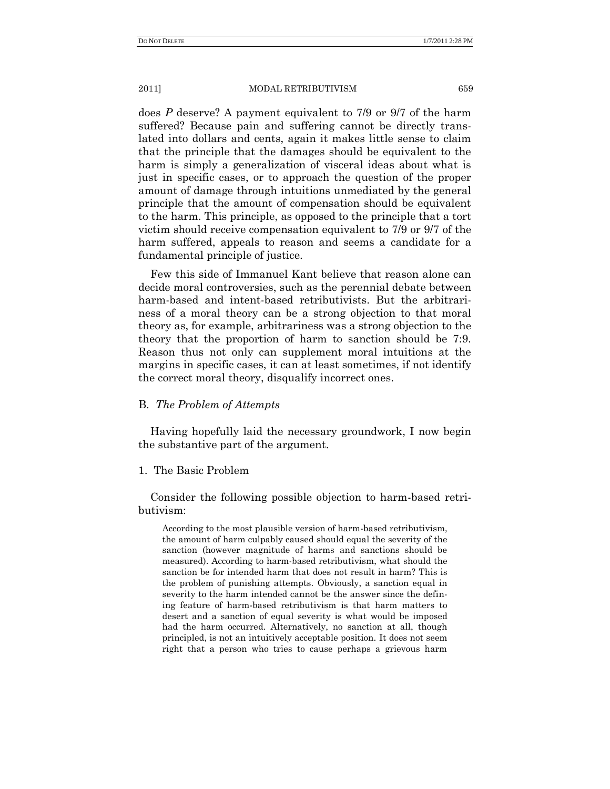does *P* deserve? A payment equivalent to 7/9 or 9/7 of the harm suffered? Because pain and suffering cannot be directly translated into dollars and cents, again it makes little sense to claim that the principle that the damages should be equivalent to the harm is simply a generalization of visceral ideas about what is just in specific cases, or to approach the question of the proper amount of damage through intuitions unmediated by the general principle that the amount of compensation should be equivalent to the harm. This principle, as opposed to the principle that a tort victim should receive compensation equivalent to 7/9 or 9/7 of the harm suffered, appeals to reason and seems a candidate for a fundamental principle of justice.

Few this side of Immanuel Kant believe that reason alone can decide moral controversies, such as the perennial debate between harm-based and intent-based retributivists. But the arbitrariness of a moral theory can be a strong objection to that moral theory as, for example, arbitrariness was a strong objection to the theory that the proportion of harm to sanction should be 7:9. Reason thus not only can supplement moral intuitions at the margins in specific cases, it can at least sometimes, if not identify the correct moral theory, disqualify incorrect ones.

# B. *The Problem of Attempts*

Having hopefully laid the necessary groundwork, I now begin the substantive part of the argument.

## 1. The Basic Problem

Consider the following possible objection to harm-based retributivism:

According to the most plausible version of harm-based retributivism, the amount of harm culpably caused should equal the severity of the sanction (however magnitude of harms and sanctions should be measured). According to harm-based retributivism, what should the sanction be for intended harm that does not result in harm? This is the problem of punishing attempts. Obviously, a sanction equal in severity to the harm intended cannot be the answer since the defining feature of harm-based retributivism is that harm matters to desert and a sanction of equal severity is what would be imposed had the harm occurred. Alternatively, no sanction at all, though principled, is not an intuitively acceptable position. It does not seem right that a person who tries to cause perhaps a grievous harm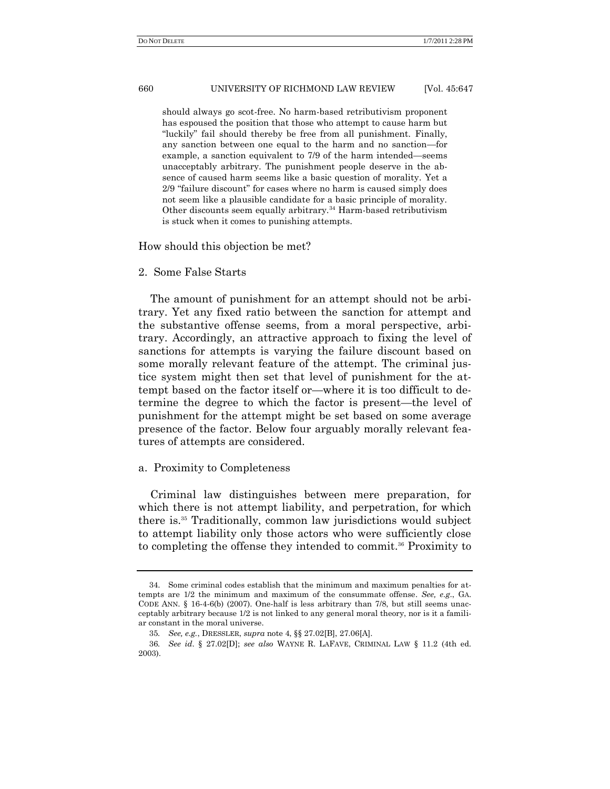should always go scot-free. No harm-based retributivism proponent has espoused the position that those who attempt to cause harm but "luckily" fail should thereby be free from all punishment. Finally, any sanction between one equal to the harm and no sanction—for example, a sanction equivalent to 7/9 of the harm intended—seems unacceptably arbitrary. The punishment people deserve in the absence of caused harm seems like a basic question of morality. Yet a 2/9 "failure discount" for cases where no harm is caused simply does not seem like a plausible candidate for a basic principle of morality. Other discounts seem equally arbitrary.<sup>34</sup> Harm-based retributivism is stuck when it comes to punishing attempts.

How should this objection be met?

#### 2. Some False Starts

The amount of punishment for an attempt should not be arbitrary. Yet any fixed ratio between the sanction for attempt and the substantive offense seems, from a moral perspective, arbitrary. Accordingly, an attractive approach to fixing the level of sanctions for attempts is varying the failure discount based on some morally relevant feature of the attempt. The criminal justice system might then set that level of punishment for the attempt based on the factor itself or—where it is too difficult to determine the degree to which the factor is present—the level of punishment for the attempt might be set based on some average presence of the factor. Below four arguably morally relevant features of attempts are considered.

#### a. Proximity to Completeness

Criminal law distinguishes between mere preparation, for which there is not attempt liability, and perpetration, for which there is.<sup>35</sup> Traditionally, common law jurisdictions would subject to attempt liability only those actors who were sufficiently close to completing the offense they intended to commit.<sup>36</sup> Proximity to

<sup>34.</sup> Some criminal codes establish that the minimum and maximum penalties for attempts are 1/2 the minimum and maximum of the consummate offense. *See, e.g*., GA. CODE ANN. § 16-4-6(b) (2007). One-half is less arbitrary than 7/8, but still seems unacceptably arbitrary because 1/2 is not linked to any general moral theory, nor is it a familiar constant in the moral universe.

<sup>35</sup>*. See, e.g.*, DRESSLER, *supra* note 4, §§ 27.02[B], 27.06[A].

<sup>36</sup>*. See id*. § 27.02[D]; *see also* WAYNE R. LAFAVE, CRIMINAL LAW § 11.2 (4th ed. 2003).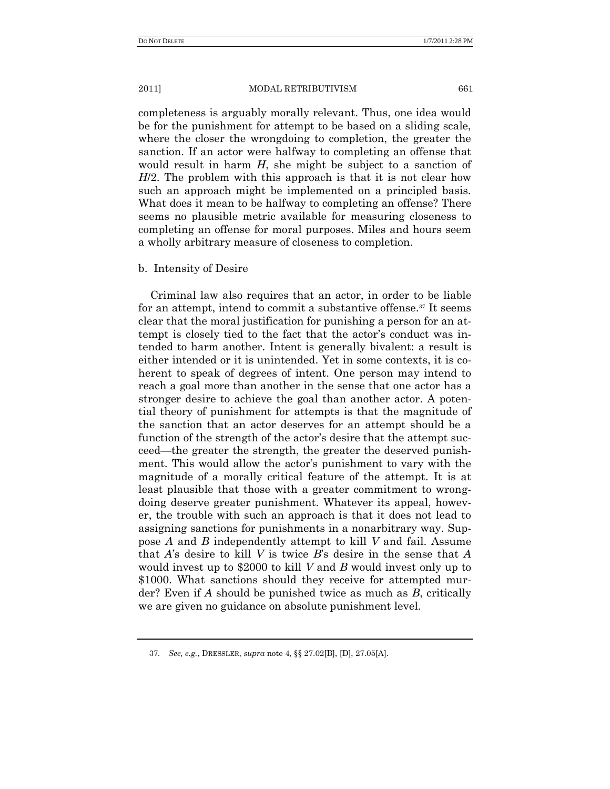completeness is arguably morally relevant. Thus, one idea would be for the punishment for attempt to be based on a sliding scale, where the closer the wrongdoing to completion, the greater the sanction. If an actor were halfway to completing an offense that would result in harm *H*, she might be subject to a sanction of *H*/2. The problem with this approach is that it is not clear how such an approach might be implemented on a principled basis. What does it mean to be halfway to completing an offense? There seems no plausible metric available for measuring closeness to completing an offense for moral purposes. Miles and hours seem a wholly arbitrary measure of closeness to completion.

## b. Intensity of Desire

Criminal law also requires that an actor, in order to be liable for an attempt, intend to commit a substantive offense.<sup>37</sup> It seems clear that the moral justification for punishing a person for an attempt is closely tied to the fact that the actor's conduct was intended to harm another. Intent is generally bivalent: a result is either intended or it is unintended. Yet in some contexts, it is coherent to speak of degrees of intent. One person may intend to reach a goal more than another in the sense that one actor has a stronger desire to achieve the goal than another actor. A potential theory of punishment for attempts is that the magnitude of the sanction that an actor deserves for an attempt should be a function of the strength of the actor's desire that the attempt succeed—the greater the strength, the greater the deserved punishment. This would allow the actor's punishment to vary with the magnitude of a morally critical feature of the attempt. It is at least plausible that those with a greater commitment to wrongdoing deserve greater punishment. Whatever its appeal, however, the trouble with such an approach is that it does not lead to assigning sanctions for punishments in a nonarbitrary way. Suppose *A* and *B* independently attempt to kill *V* and fail. Assume that *A*'s desire to kill *V* is twice *B*'s desire in the sense that *A* would invest up to \$2000 to kill *V* and *B* would invest only up to \$1000. What sanctions should they receive for attempted murder? Even if *A* should be punished twice as much as *B*, critically we are given no guidance on absolute punishment level.

<sup>37</sup>*. See, e.g.*, DRESSLER, *supra* note 4, §§ 27.02[B], [D], 27.05[A].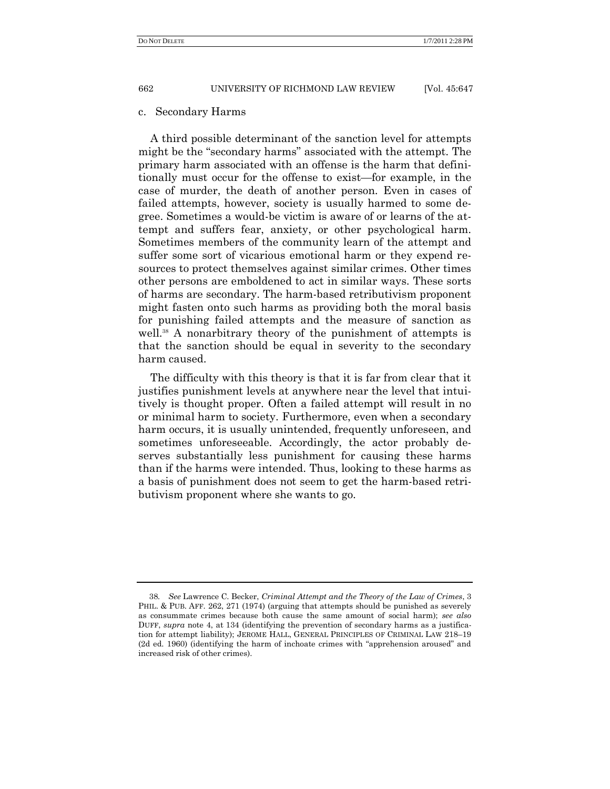#### c. Secondary Harms

A third possible determinant of the sanction level for attempts might be the "secondary harms" associated with the attempt. The primary harm associated with an offense is the harm that definitionally must occur for the offense to exist—for example, in the case of murder, the death of another person. Even in cases of failed attempts, however, society is usually harmed to some degree. Sometimes a would-be victim is aware of or learns of the attempt and suffers fear, anxiety, or other psychological harm. Sometimes members of the community learn of the attempt and suffer some sort of vicarious emotional harm or they expend resources to protect themselves against similar crimes. Other times other persons are emboldened to act in similar ways. These sorts of harms are secondary. The harm-based retributivism proponent might fasten onto such harms as providing both the moral basis for punishing failed attempts and the measure of sanction as well.<sup>38</sup> A nonarbitrary theory of the punishment of attempts is that the sanction should be equal in severity to the secondary harm caused.

The difficulty with this theory is that it is far from clear that it justifies punishment levels at anywhere near the level that intuitively is thought proper. Often a failed attempt will result in no or minimal harm to society. Furthermore, even when a secondary harm occurs, it is usually unintended, frequently unforeseen, and sometimes unforeseeable. Accordingly, the actor probably deserves substantially less punishment for causing these harms than if the harms were intended. Thus, looking to these harms as a basis of punishment does not seem to get the harm-based retributivism proponent where she wants to go.

<sup>38</sup>*. See* Lawrence C. Becker, *Criminal Attempt and the Theory of the Law of Crimes*, 3 PHIL. & PUB. AFF. 262, 271 (1974) (arguing that attempts should be punished as severely as consummate crimes because both cause the same amount of social harm); *see also* DUFF, *supra* note 4, at 134 (identifying the prevention of secondary harms as a justification for attempt liability); JEROME HALL, GENERAL PRINCIPLES OF CRIMINAL LAW 218–19  $(2d$  ed. 1960) (identifying the harm of inchoate crimes with "apprehension aroused" and increased risk of other crimes).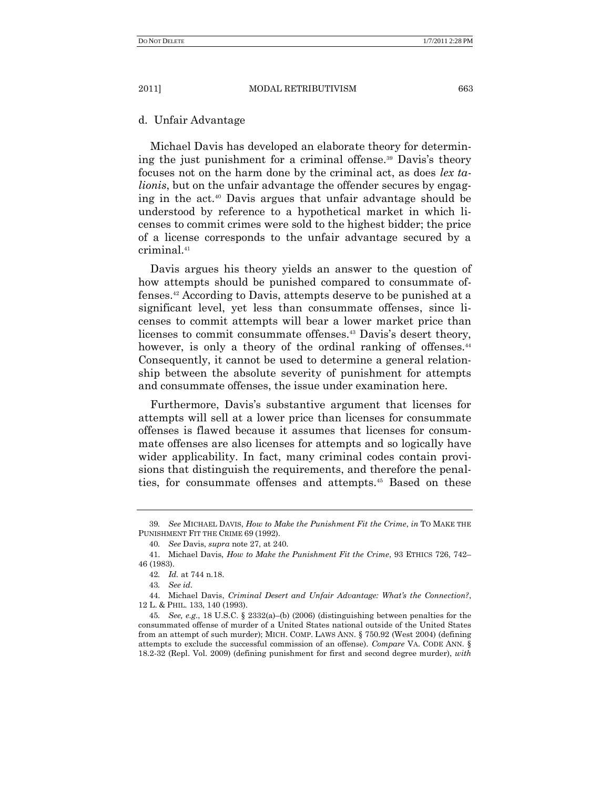d. Unfair Advantage

Michael Davis has developed an elaborate theory for determining the just punishment for a criminal offense.<sup>39</sup> Davis's theory focuses not on the harm done by the criminal act, as does *lex talionis*, but on the unfair advantage the offender secures by engaging in the act.<sup>40</sup> Davis argues that unfair advantage should be understood by reference to a hypothetical market in which licenses to commit crimes were sold to the highest bidder; the price of a license corresponds to the unfair advantage secured by a criminal.<sup>41</sup>

Davis argues his theory yields an answer to the question of how attempts should be punished compared to consummate offenses.<sup>42</sup> According to Davis, attempts deserve to be punished at a significant level, yet less than consummate offenses, since licenses to commit attempts will bear a lower market price than licenses to commit consummate offenses.<sup>43</sup> Davis's desert theory, however, is only a theory of the ordinal ranking of offenses.<sup>44</sup> Consequently, it cannot be used to determine a general relationship between the absolute severity of punishment for attempts and consummate offenses, the issue under examination here.

Furthermore, Davis's substantive argument that licenses for attempts will sell at a lower price than licenses for consummate offenses is flawed because it assumes that licenses for consummate offenses are also licenses for attempts and so logically have wider applicability. In fact, many criminal codes contain provisions that distinguish the requirements, and therefore the penalties, for consummate offenses and attempts.<sup>45</sup> Based on these

<sup>39</sup>*. See* MICHAEL DAVIS, *How to Make the Punishment Fit the Crime*, *in* TO MAKE THE PUNISHMENT FIT THE CRIME 69 (1992).

<sup>40</sup>*. See* Davis, *supra* note 27, at 240.

<sup>41.</sup> Michael Davis, *How to Make the Punishment Fit the Crime*, 93 ETHICS 726, 742– 46 (1983).

<sup>42</sup>*. Id.* at 744 n.18.

<sup>43</sup>*. See id.* 

<sup>44.</sup> Michael Davis, *Criminal Desert and Unfair Advantage: What's the Connection?*, 12 L. & PHIL. 133, 140 (1993).

<sup>45</sup>*. See, e.g.*, 18 U.S.C. § 2332(a)–(b) (2006) (distinguishing between penalties for the consummated offense of murder of a United States national outside of the United States from an attempt of such murder); MICH. COMP. LAWS ANN. § 750.92 (West 2004) (defining attempts to exclude the successful commission of an offense). *Compare* VA. CODE ANN. § 18.2-32 (Repl. Vol. 2009) (defining punishment for first and second degree murder), *with*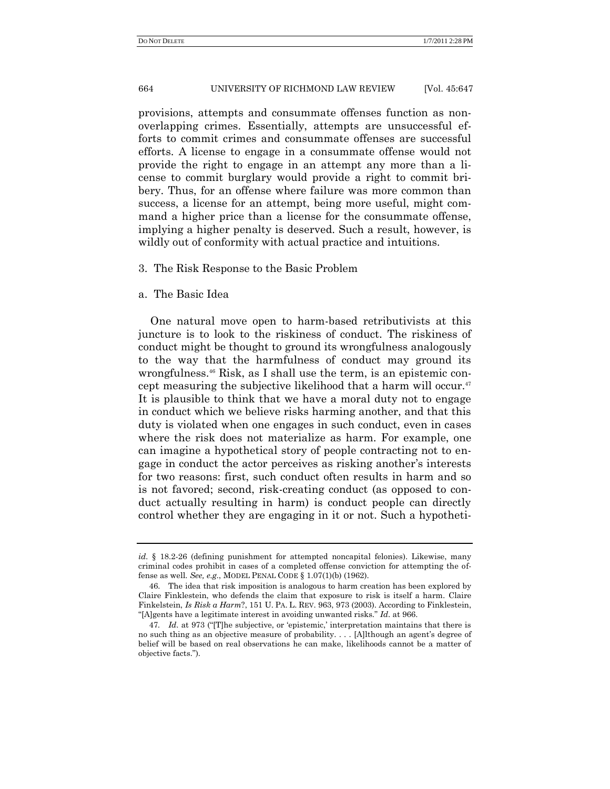provisions, attempts and consummate offenses function as nonoverlapping crimes. Essentially, attempts are unsuccessful efforts to commit crimes and consummate offenses are successful efforts. A license to engage in a consummate offense would not provide the right to engage in an attempt any more than a license to commit burglary would provide a right to commit bribery. Thus, for an offense where failure was more common than success, a license for an attempt, being more useful, might command a higher price than a license for the consummate offense, implying a higher penalty is deserved. Such a result, however, is wildly out of conformity with actual practice and intuitions.

## 3. The Risk Response to the Basic Problem

## a. The Basic Idea

One natural move open to harm-based retributivists at this juncture is to look to the riskiness of conduct. The riskiness of conduct might be thought to ground its wrongfulness analogously to the way that the harmfulness of conduct may ground its wrongfulness.<sup>46</sup> Risk, as I shall use the term, is an epistemic concept measuring the subjective likelihood that a harm will occur.<sup>47</sup> It is plausible to think that we have a moral duty not to engage in conduct which we believe risks harming another, and that this duty is violated when one engages in such conduct, even in cases where the risk does not materialize as harm. For example, one can imagine a hypothetical story of people contracting not to engage in conduct the actor perceives as risking another's interests for two reasons: first, such conduct often results in harm and so is not favored; second, risk-creating conduct (as opposed to conduct actually resulting in harm) is conduct people can directly control whether they are engaging in it or not. Such a hypotheti-

*id.* § 18.2-26 (defining punishment for attempted noncapital felonies). Likewise, many criminal codes prohibit in cases of a completed offense conviction for attempting the offense as well. *See, e.g.*, MODEL PENAL CODE § 1.07(1)(b) (1962).

<sup>46.</sup> The idea that risk imposition is analogous to harm creation has been explored by Claire Finklestein, who defends the claim that exposure to risk is itself a harm. Claire Finkelstein, *Is Risk a Harm*?, 151 U. PA. L. REV. 963, 973 (2003). According to Finklestein, ―[A]gents have a legitimate interest in avoiding unwanted risks.‖ *Id*. at 966.

<sup>47.</sup> *Id.* at 973 ("[T]he subjective, or 'epistemic,' interpretation maintains that there is no such thing as an objective measure of probability. . . . [A]lthough an agent's degree of belief will be based on real observations he can make, likelihoods cannot be a matter of objective facts.‖).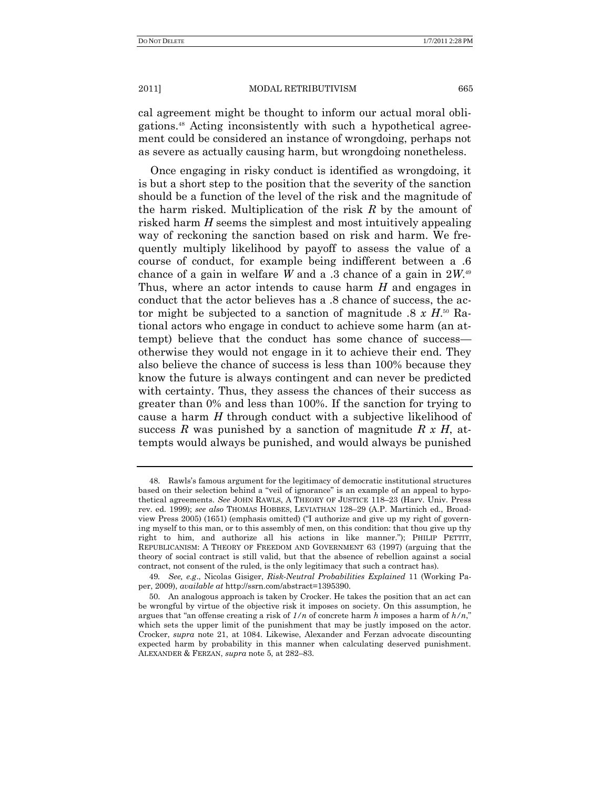cal agreement might be thought to inform our actual moral obligations.<sup>48</sup> Acting inconsistently with such a hypothetical agreement could be considered an instance of wrongdoing, perhaps not as severe as actually causing harm, but wrongdoing nonetheless.

Once engaging in risky conduct is identified as wrongdoing, it is but a short step to the position that the severity of the sanction should be a function of the level of the risk and the magnitude of the harm risked. Multiplication of the risk *R* by the amount of risked harm *H* seems the simplest and most intuitively appealing way of reckoning the sanction based on risk and harm. We frequently multiply likelihood by payoff to assess the value of a course of conduct, for example being indifferent between a .6 chance of a gain in welfare *W* and a .3 chance of a gain in 2*W*. 49 Thus, where an actor intends to cause harm *H* and engages in conduct that the actor believes has a .8 chance of success, the actor might be subjected to a sanction of magnitude .8 *x H*. <sup>50</sup> Rational actors who engage in conduct to achieve some harm (an attempt) believe that the conduct has some chance of success otherwise they would not engage in it to achieve their end. They also believe the chance of success is less than 100% because they know the future is always contingent and can never be predicted with certainty. Thus, they assess the chances of their success as greater than 0% and less than 100%. If the sanction for trying to cause a harm *H* through conduct with a subjective likelihood of success *R* was punished by a sanction of magnitude *R x H*, attempts would always be punished, and would always be punished

<sup>48.</sup> Rawls's famous argument for the legitimacy of democratic institutional structures based on their selection behind a "veil of ignorance" is an example of an appeal to hypothetical agreements. *See* JOHN RAWLS, A THEORY OF JUSTICE 118–23 (Harv. Univ. Press rev. ed. 1999); *see also* THOMAS HOBBES, LEVIATHAN 128–29 (A.P. Martinich ed., Broadview Press 2005) (1651) (emphasis omitted) ("I authorize and give up my right of governing myself to this man, or to this assembly of men, on this condition: that thou give up thy right to him, and authorize all his actions in like manner."); PHILIP PETTIT, REPUBLICANISM: A THEORY OF FREEDOM AND GOVERNMENT 63 (1997) (arguing that the theory of social contract is still valid, but that the absence of rebellion against a social contract, not consent of the ruled, is the only legitimacy that such a contract has).

<sup>49</sup>*. See, e.g*., Nicolas Gisiger, *Risk-Neutral Probabilities Explained* 11 (Working Paper, 2009), *available at* http://ssrn.com/abstract=1395390.

<sup>50.</sup> An analogous approach is taken by Crocker. He takes the position that an act can be wrongful by virtue of the objective risk it imposes on society. On this assumption, he argues that "an offense creating a risk of  $1/n$  of concrete harm *h* imposes a harm of  $h/n$ ," which sets the upper limit of the punishment that may be justly imposed on the actor. Crocker, *supra* note 21, at 1084. Likewise, Alexander and Ferzan advocate discounting expected harm by probability in this manner when calculating deserved punishment. ALEXANDER & FERZAN, *supra* note 5, at 282–83.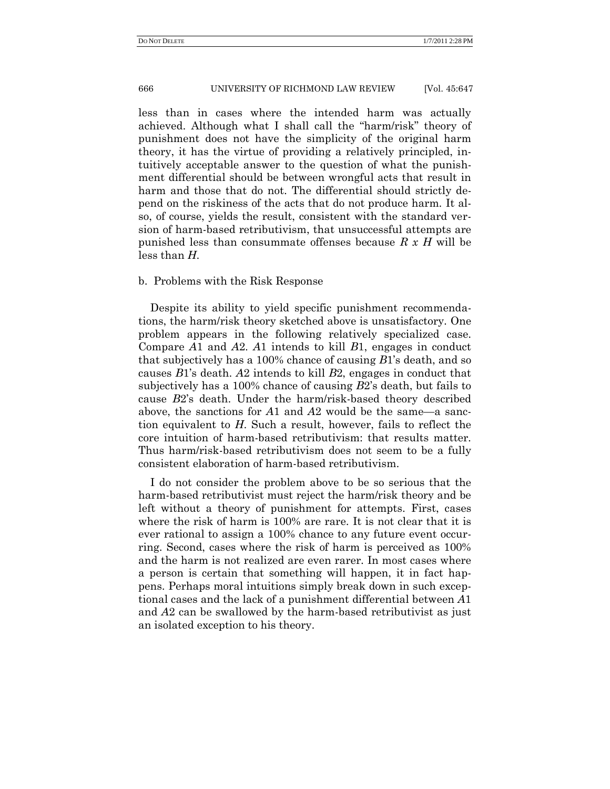less than in cases where the intended harm was actually achieved. Although what I shall call the "harm/risk" theory of punishment does not have the simplicity of the original harm theory, it has the virtue of providing a relatively principled, intuitively acceptable answer to the question of what the punishment differential should be between wrongful acts that result in harm and those that do not. The differential should strictly depend on the riskiness of the acts that do not produce harm. It also, of course, yields the result, consistent with the standard version of harm-based retributivism, that unsuccessful attempts are punished less than consummate offenses because *R x H* will be less than *H*.

# b. Problems with the Risk Response

Despite its ability to yield specific punishment recommendations, the harm/risk theory sketched above is unsatisfactory. One problem appears in the following relatively specialized case. Compare *A*1 and *A*2. *A*1 intends to kill *B*1, engages in conduct that subjectively has a 100% chance of causing *B*1's death, and so causes *B*1's death. *A*2 intends to kill *B*2, engages in conduct that subjectively has a 100% chance of causing *B*2's death, but fails to cause *B*2's death. Under the harm/risk-based theory described above, the sanctions for *A*1 and *A*2 would be the same—a sanction equivalent to *H*. Such a result, however, fails to reflect the core intuition of harm-based retributivism: that results matter. Thus harm/risk-based retributivism does not seem to be a fully consistent elaboration of harm-based retributivism.

I do not consider the problem above to be so serious that the harm-based retributivist must reject the harm/risk theory and be left without a theory of punishment for attempts. First, cases where the risk of harm is 100% are rare. It is not clear that it is ever rational to assign a 100% chance to any future event occurring. Second, cases where the risk of harm is perceived as 100% and the harm is not realized are even rarer. In most cases where a person is certain that something will happen, it in fact happens. Perhaps moral intuitions simply break down in such exceptional cases and the lack of a punishment differential between *A*1 and *A*2 can be swallowed by the harm-based retributivist as just an isolated exception to his theory.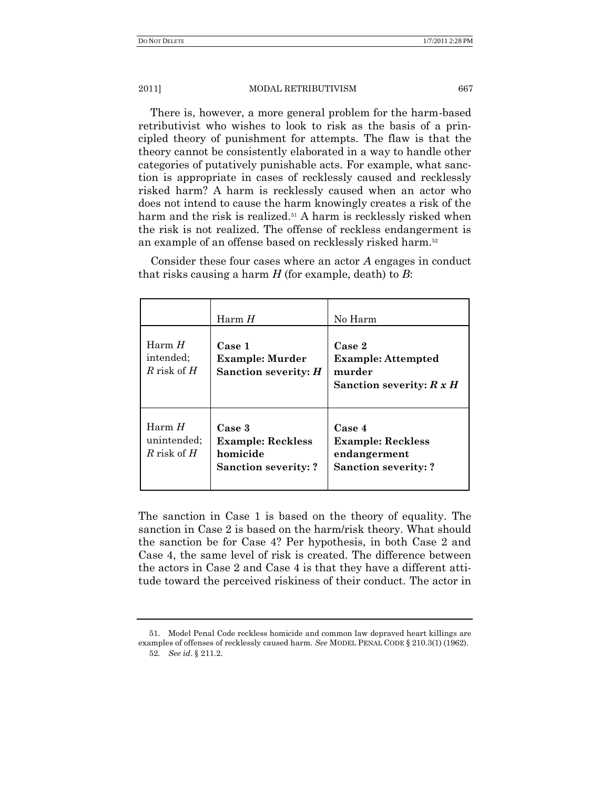There is, however, a more general problem for the harm-based retributivist who wishes to look to risk as the basis of a principled theory of punishment for attempts. The flaw is that the theory cannot be consistently elaborated in a way to handle other categories of putatively punishable acts. For example, what sanction is appropriate in cases of recklessly caused and recklessly risked harm? A harm is recklessly caused when an actor who does not intend to cause the harm knowingly creates a risk of the harm and the risk is realized.<sup>51</sup> A harm is recklessly risked when the risk is not realized. The offense of reckless endangerment is an example of an offense based on recklessly risked harm.<sup>52</sup>

Consider these four cases where an actor *A* engages in conduct that risks causing a harm *H* (for example, death) to *B*:

|                                          | Harm $H$                                                                      | No Harm                                                                           |
|------------------------------------------|-------------------------------------------------------------------------------|-----------------------------------------------------------------------------------|
| Harm $H$<br>intended:<br>R risk of $H$   | Case 1<br><b>Example: Murder</b><br>Sanction severity: $H$                    | Case 2<br><b>Example: Attempted</b><br>murder<br>Sanction severity: $R x H$       |
| Harm $H$<br>unintended:<br>R risk of $H$ | Case 3<br><b>Example: Reckless</b><br>homicide<br><b>Sanction severity: ?</b> | Case 4<br><b>Example: Reckless</b><br>endangerment<br><b>Sanction severity: ?</b> |

The sanction in Case 1 is based on the theory of equality. The sanction in Case 2 is based on the harm/risk theory. What should the sanction be for Case 4? Per hypothesis, in both Case 2 and Case 4, the same level of risk is created. The difference between the actors in Case 2 and Case 4 is that they have a different attitude toward the perceived riskiness of their conduct. The actor in

<sup>51.</sup> Model Penal Code reckless homicide and common law depraved heart killings are examples of offenses of recklessly caused harm. *See* MODEL PENAL CODE § 210.3(1) (1962). 52*. See id*. § 211.2.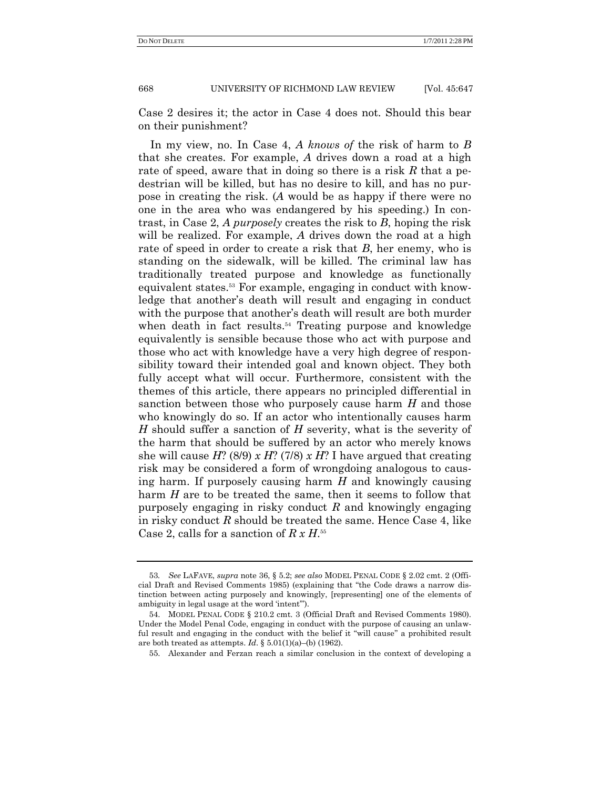Case 2 desires it; the actor in Case 4 does not. Should this bear on their punishment?

In my view, no. In Case 4, *A knows of* the risk of harm to *B* that she creates. For example, *A* drives down a road at a high rate of speed, aware that in doing so there is a risk *R* that a pedestrian will be killed, but has no desire to kill, and has no purpose in creating the risk. (*A* would be as happy if there were no one in the area who was endangered by his speeding.) In contrast, in Case 2, *A purposely* creates the risk to *B*, hoping the risk will be realized. For example, *A* drives down the road at a high rate of speed in order to create a risk that *B*, her enemy, who is standing on the sidewalk, will be killed. The criminal law has traditionally treated purpose and knowledge as functionally equivalent states.<sup>53</sup> For example, engaging in conduct with knowledge that another's death will result and engaging in conduct with the purpose that another's death will result are both murder when death in fact results.<sup>54</sup> Treating purpose and knowledge equivalently is sensible because those who act with purpose and those who act with knowledge have a very high degree of responsibility toward their intended goal and known object. They both fully accept what will occur. Furthermore, consistent with the themes of this article, there appears no principled differential in sanction between those who purposely cause harm *H* and those who knowingly do so. If an actor who intentionally causes harm *H* should suffer a sanction of *H* severity, what is the severity of the harm that should be suffered by an actor who merely knows she will cause *H*? (8/9) *x H*? (7/8) *x H*? I have argued that creating risk may be considered a form of wrongdoing analogous to causing harm. If purposely causing harm *H* and knowingly causing harm *H* are to be treated the same, then it seems to follow that purposely engaging in risky conduct *R* and knowingly engaging in risky conduct *R* should be treated the same. Hence Case 4, like Case 2, calls for a sanction of *R x H*. 55

<sup>53</sup>*. See* LAFAVE, *supra* note 36, § 5.2; *see also* MODEL PENAL CODE § 2.02 cmt. 2 (Official Draft and Revised Comments 1985) (explaining that "the Code draws a narrow distinction between acting purposely and knowingly, [representing] one of the elements of ambiguity in legal usage at the word 'intent").

<sup>54.</sup> MODEL PENAL CODE § 210.2 cmt. 3 (Official Draft and Revised Comments 1980). Under the Model Penal Code, engaging in conduct with the purpose of causing an unlawful result and engaging in the conduct with the belief it "will cause" a prohibited result are both treated as attempts. *Id*. § 5.01(1)(a)–(b) (1962).

<sup>55.</sup> Alexander and Ferzan reach a similar conclusion in the context of developing a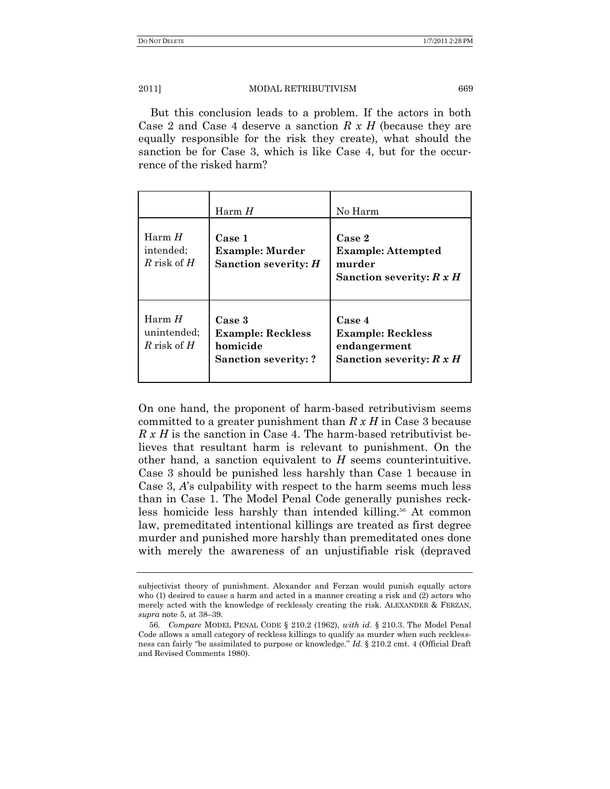But this conclusion leads to a problem. If the actors in both Case 2 and Case 4 deserve a sanction *R x H* (because they are equally responsible for the risk they create), what should the sanction be for Case 3, which is like Case 4, but for the occurrence of the risked harm?

|                                          | Harm $H$                                                                      | No Harm                                                                          |
|------------------------------------------|-------------------------------------------------------------------------------|----------------------------------------------------------------------------------|
| HarmH<br>intended:<br>R risk of $H$      | Case 1<br><b>Example: Murder</b><br>Sanction severity: $H$                    | Case 2<br><b>Example: Attempted</b><br>murder<br>Sanction severity: $R x H$      |
| Harm $H$<br>unintended:<br>R risk of $H$ | Case 3<br><b>Example: Reckless</b><br>homicide<br><b>Sanction severity: ?</b> | Case 4<br><b>Example: Reckless</b><br>endangerment<br>Sanction severity: $R x H$ |

On one hand, the proponent of harm-based retributivism seems committed to a greater punishment than *R x H* in Case 3 because *R x H* is the sanction in Case 4. The harm-based retributivist believes that resultant harm is relevant to punishment. On the other hand, a sanction equivalent to *H* seems counterintuitive. Case 3 should be punished less harshly than Case 1 because in Case 3, *A*'s culpability with respect to the harm seems much less than in Case 1. The Model Penal Code generally punishes reckless homicide less harshly than intended killing.<sup>56</sup> At common law, premeditated intentional killings are treated as first degree murder and punished more harshly than premeditated ones done with merely the awareness of an unjustifiable risk (depraved

subjectivist theory of punishment. Alexander and Ferzan would punish equally actors who (1) desired to cause a harm and acted in a manner creating a risk and (2) actors who merely acted with the knowledge of recklessly creating the risk. ALEXANDER & FERZAN, *supra* note 5, at 38–39.

<sup>56</sup>*. Compare* MODEL PENAL CODE § 210.2 (1962), *with id.* § 210.3. The Model Penal Code allows a small category of reckless killings to qualify as murder when such recklessness can fairly "be assimilated to purpose or knowledge." *Id.* § 210.2 cmt. 4 (Official Draft and Revised Comments 1980).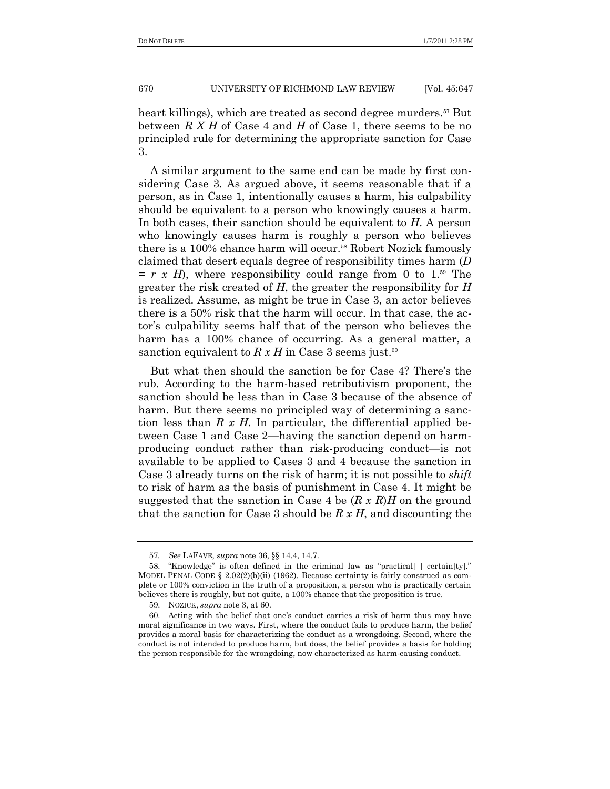heart killings), which are treated as second degree murders.<sup>57</sup> But between *R X H* of Case 4 and *H* of Case 1, there seems to be no principled rule for determining the appropriate sanction for Case 3.

A similar argument to the same end can be made by first considering Case 3. As argued above, it seems reasonable that if a person, as in Case 1, intentionally causes a harm, his culpability should be equivalent to a person who knowingly causes a harm. In both cases, their sanction should be equivalent to *H*. A person who knowingly causes harm is roughly a person who believes there is a 100% chance harm will occur.<sup>58</sup> Robert Nozick famously claimed that desert equals degree of responsibility times harm (*D*  $= r \times H$ , where responsibility could range from 0 to 1.<sup>59</sup> The greater the risk created of *H*, the greater the responsibility for *H* is realized. Assume, as might be true in Case 3, an actor believes there is a 50% risk that the harm will occur. In that case, the actor's culpability seems half that of the person who believes the harm has a 100% chance of occurring. As a general matter, a sanction equivalent to  $R x H$  in Case 3 seems just.<sup>60</sup>

But what then should the sanction be for Case 4? There's the rub. According to the harm-based retributivism proponent, the sanction should be less than in Case 3 because of the absence of harm. But there seems no principled way of determining a sanction less than *R x H*. In particular, the differential applied between Case 1 and Case 2—having the sanction depend on harmproducing conduct rather than risk-producing conduct—is not available to be applied to Cases 3 and 4 because the sanction in Case 3 already turns on the risk of harm; it is not possible to *shift* to risk of harm as the basis of punishment in Case 4. It might be suggested that the sanction in Case 4 be (*R x R*)*H* on the ground that the sanction for Case 3 should be *R x H*, and discounting the

<sup>57</sup>*. See* LAFAVE, *supra* note 36, §§ 14.4, 14.7.

<sup>58. &</sup>quot;Knowledge" is often defined in the criminal law as "practical[] certain[ty]." MODEL PENAL CODE  $\S$  2.02(2)(b)(ii) (1962). Because certainty is fairly construed as complete or 100% conviction in the truth of a proposition, a person who is practically certain believes there is roughly, but not quite, a 100% chance that the proposition is true.

<sup>59.</sup> NOZICK, *supra* note 3, at 60.

<sup>60.</sup> Acting with the belief that one's conduct carries a risk of harm thus may have moral significance in two ways. First, where the conduct fails to produce harm, the belief provides a moral basis for characterizing the conduct as a wrongdoing. Second, where the conduct is not intended to produce harm, but does, the belief provides a basis for holding the person responsible for the wrongdoing, now characterized as harm-causing conduct.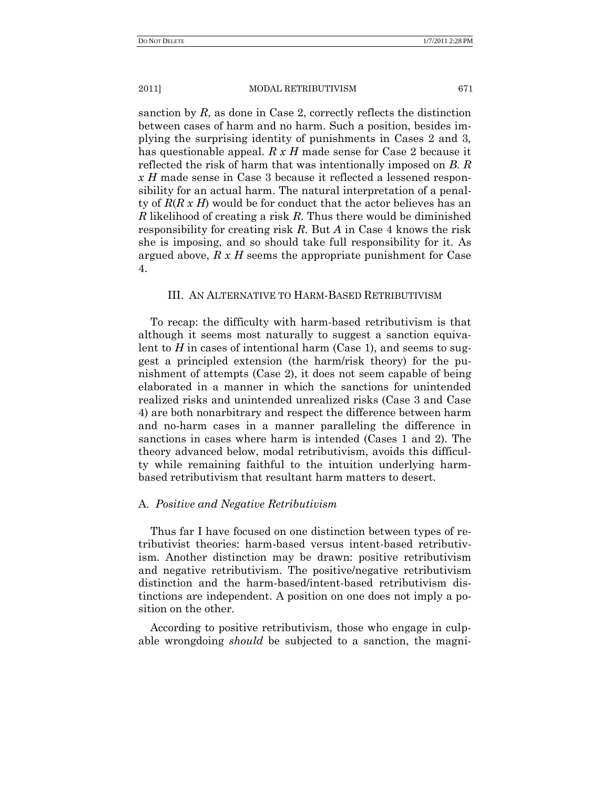sanction by *R*, as done in Case 2, correctly reflects the distinction between cases of harm and no harm. Such a position, besides implying the surprising identity of punishments in Cases 2 and 3, has questionable appeal. *R x H* made sense for Case 2 because it reflected the risk of harm that was intentionally imposed on *B*. *R x H* made sense in Case 3 because it reflected a lessened responsibility for an actual harm. The natural interpretation of a penalty of *R*(*R x H*) would be for conduct that the actor believes has an *R* likelihood of creating a risk *R*. Thus there would be diminished responsibility for creating risk *R*. But *A* in Case 4 knows the risk she is imposing, and so should take full responsibility for it. As argued above, *R x H* seems the appropriate punishment for Case 4.

# III. AN ALTERNATIVE TO HARM-BASED RETRIBUTIVISM

To recap: the difficulty with harm-based retributivism is that although it seems most naturally to suggest a sanction equivalent to  $H$  in cases of intentional harm (Case 1), and seems to suggest a principled extension (the harm/risk theory) for the punishment of attempts (Case 2), it does not seem capable of being elaborated in a manner in which the sanctions for unintended realized risks and unintended unrealized risks (Case 3 and Case 4) are both nonarbitrary and respect the difference between harm and no-harm cases in a manner paralleling the difference in sanctions in cases where harm is intended (Cases 1 and 2). The theory advanced below, modal retributivism, avoids this difficulty while remaining faithful to the intuition underlying harmbased retributivism that resultant harm matters to desert.

## A. *Positive and Negative Retributivism*

Thus far I have focused on one distinction between types of retributivist theories: harm-based versus intent-based retributivism. Another distinction may be drawn: positive retributivism and negative retributivism. The positive/negative retributivism distinction and the harm-based/intent-based retributivism distinctions are independent. A position on one does not imply a position on the other.

According to positive retributivism, those who engage in culpable wrongdoing *should* be subjected to a sanction, the magni-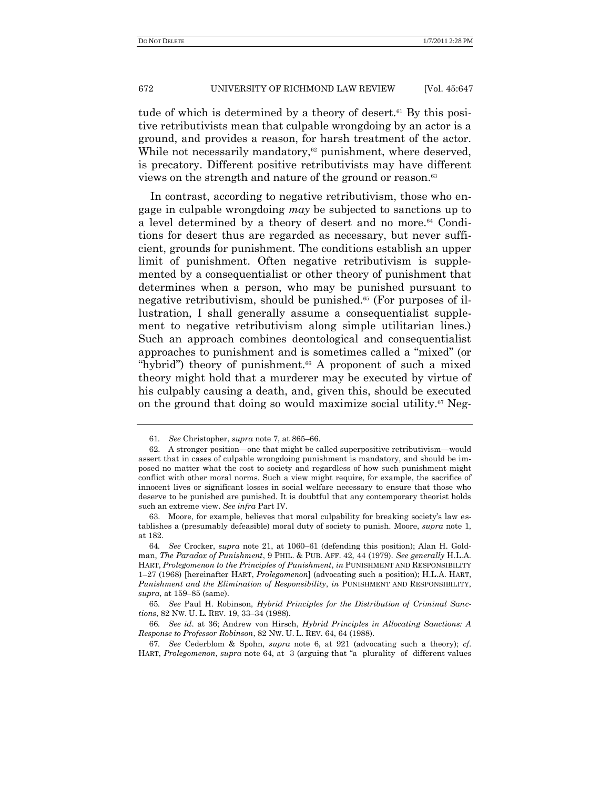tude of which is determined by a theory of desert.<sup>61</sup> By this positive retributivists mean that culpable wrongdoing by an actor is a ground, and provides a reason, for harsh treatment of the actor. While not necessarily mandatory, $62$  punishment, where deserved, is precatory. Different positive retributivists may have different views on the strength and nature of the ground or reason.<sup>63</sup>

In contrast, according to negative retributivism, those who engage in culpable wrongdoing *may* be subjected to sanctions up to a level determined by a theory of desert and no more.<sup>64</sup> Conditions for desert thus are regarded as necessary, but never sufficient, grounds for punishment. The conditions establish an upper limit of punishment. Often negative retributivism is supplemented by a consequentialist or other theory of punishment that determines when a person, who may be punished pursuant to negative retributivism, should be punished.<sup>65</sup> (For purposes of illustration, I shall generally assume a consequentialist supplement to negative retributivism along simple utilitarian lines.) Such an approach combines deontological and consequentialist approaches to punishment and is sometimes called a "mixed" (or "hybrid") theory of punishment.<sup>66</sup> A proponent of such a mixed theory might hold that a murderer may be executed by virtue of his culpably causing a death, and, given this, should be executed on the ground that doing so would maximize social utility.<sup>67</sup> Neg-

<sup>61</sup>*. See* Christopher, *supra* note 7, at 865–66.

<sup>62.</sup> A stronger position—one that might be called superpositive retributivism—would assert that in cases of culpable wrongdoing punishment is mandatory, and should be imposed no matter what the cost to society and regardless of how such punishment might conflict with other moral norms. Such a view might require, for example, the sacrifice of innocent lives or significant losses in social welfare necessary to ensure that those who deserve to be punished are punished. It is doubtful that any contemporary theorist holds such an extreme view. *See infra* Part IV.

<sup>63.</sup> Moore, for example, believes that moral culpability for breaking society's law establishes a (presumably defeasible) moral duty of society to punish. Moore, *supra* note 1, at 182.

<sup>64</sup>*. See* Crocker, *supra* note 21, at 1060–61 (defending this position); Alan H. Goldman, *The Paradox of Punishment*, 9 PHIL. & PUB. AFF. 42, 44 (1979). *See generally* H.L.A. HART, *Prolegomenon to the Principles of Punishment*, *in* PUNISHMENT AND RESPONSIBILITY 1–27 (1968) [hereinafter HART, *Prolegomenon*] (advocating such a position); H.L.A. HART, *Punishment and the Elimination of Responsibility*, *in* PUNISHMENT AND RESPONSIBILITY, *supra*, at 159–85 (same).

<sup>65</sup>*. See* Paul H. Robinson, *Hybrid Principles for the Distribution of Criminal Sanctions*, 82 NW. U. L. REV. 19, 33–34 (1988).

<sup>66</sup>*. See id*. at 36; Andrew von Hirsch, *Hybrid Principles in Allocating Sanctions: A Response to Professor Robinson*, 82 NW. U. L. REV. 64, 64 (1988).

<sup>67</sup>*. See* Cederblom & Spohn, *supra* note 6, at 921 (advocating such a theory); *cf*. HART, *Prolegomenon*, *supra* note 64, at 3 (arguing that "a plurality of different values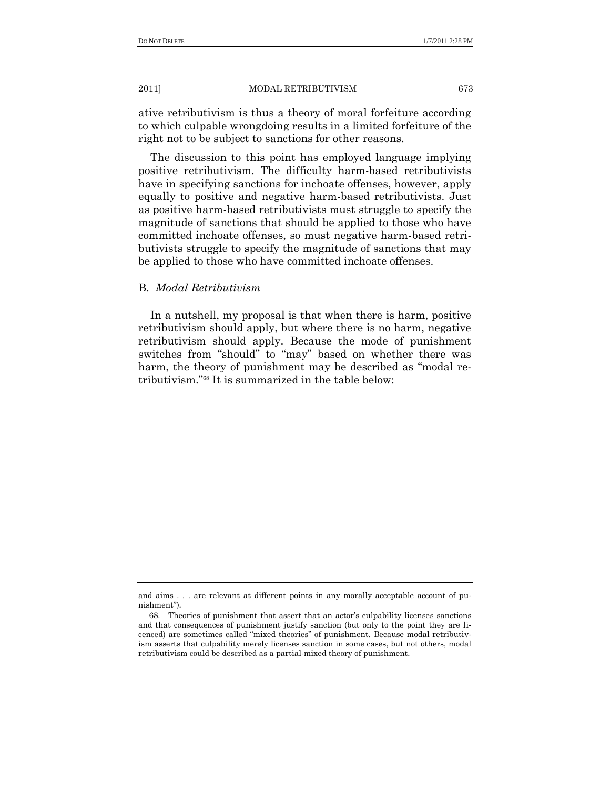ative retributivism is thus a theory of moral forfeiture according to which culpable wrongdoing results in a limited forfeiture of the right not to be subject to sanctions for other reasons.

The discussion to this point has employed language implying positive retributivism. The difficulty harm-based retributivists have in specifying sanctions for inchoate offenses, however, apply equally to positive and negative harm-based retributivists. Just as positive harm-based retributivists must struggle to specify the magnitude of sanctions that should be applied to those who have committed inchoate offenses, so must negative harm-based retributivists struggle to specify the magnitude of sanctions that may be applied to those who have committed inchoate offenses.

## B. *Modal Retributivism*

In a nutshell, my proposal is that when there is harm, positive retributivism should apply, but where there is no harm, negative retributivism should apply. Because the mode of punishment switches from "should" to "may" based on whether there was harm, the theory of punishment may be described as "modal retributivism."<sup>68</sup> It is summarized in the table below:

and aims . . . are relevant at different points in any morally acceptable account of punishment").

<sup>68.</sup> Theories of punishment that assert that an actor's culpability licenses sanctions and that consequences of punishment justify sanction (but only to the point they are licenced) are sometimes called "mixed theories" of punishment. Because modal retributivism asserts that culpability merely licenses sanction in some cases, but not others, modal retributivism could be described as a partial-mixed theory of punishment.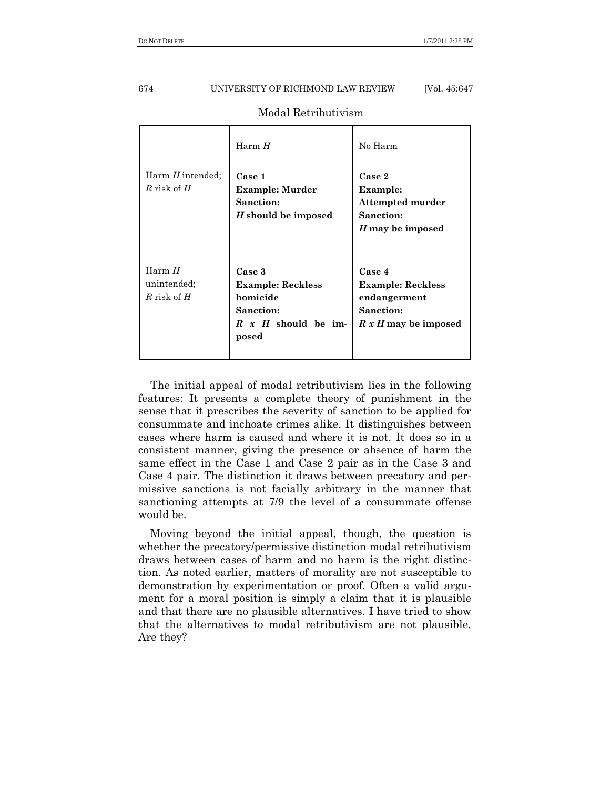|                                          | Harm H                                                                                                    | No Harm                                                                                 |
|------------------------------------------|-----------------------------------------------------------------------------------------------------------|-----------------------------------------------------------------------------------------|
| Harm $H$ intended:<br>R risk of $H$      | Case 1<br>Example: Murder<br>Sanction:<br>H should be imposed                                             | Case 2<br>Example:<br>Attempted murder<br>Sanction:<br>H may be imposed                 |
| Harm $H$<br>unintended;<br>R risk of $H$ | Case 3<br><b>Example: Reckless</b><br>homicide<br><b>Sanction:</b><br>$R \times H$ should be im-<br>posed | Case 4<br><b>Example: Reckless</b><br>endangerment<br>Sanction:<br>R x H may be imposed |

## Modal Retributivism

The initial appeal of modal retributivism lies in the following features: It presents a complete theory of punishment in the sense that it prescribes the severity of sanction to be applied for consummate and inchoate crimes alike. It distinguishes between cases where harm is caused and where it is not. It does so in a consistent manner, giving the presence or absence of harm the same effect in the Case 1 and Case 2 pair as in the Case 3 and Case 4 pair. The distinction it draws between precatory and permissive sanctions is not facially arbitrary in the manner that sanctioning attempts at 7/9 the level of a consummate offense would be.

Moving beyond the initial appeal, though, the question is whether the precatory/permissive distinction modal retributivism draws between cases of harm and no harm is the right distinction. As noted earlier, matters of morality are not susceptible to demonstration by experimentation or proof. Often a valid argument for a moral position is simply a claim that it is plausible and that there are no plausible alternatives. I have tried to show that the alternatives to modal retributivism are not plausible. Are they?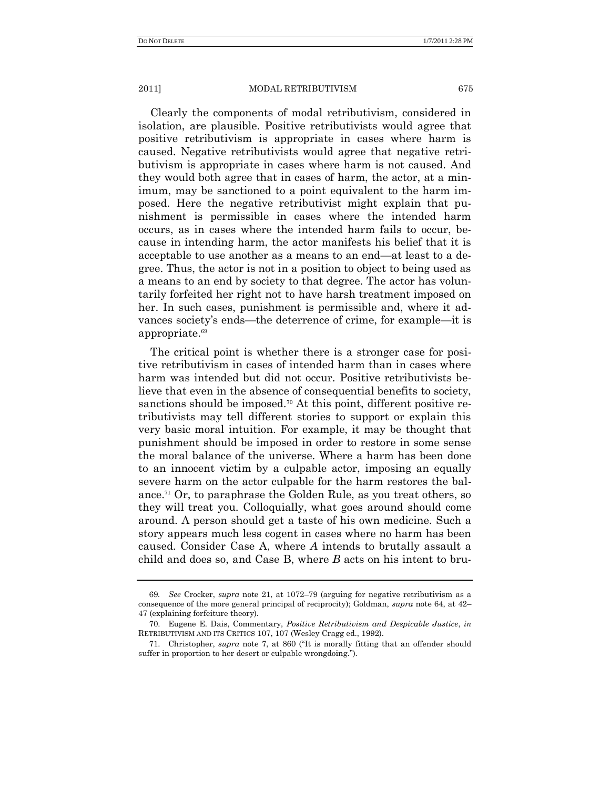Clearly the components of modal retributivism, considered in isolation, are plausible. Positive retributivists would agree that positive retributivism is appropriate in cases where harm is caused. Negative retributivists would agree that negative retributivism is appropriate in cases where harm is not caused. And they would both agree that in cases of harm, the actor, at a minimum, may be sanctioned to a point equivalent to the harm imposed. Here the negative retributivist might explain that punishment is permissible in cases where the intended harm occurs, as in cases where the intended harm fails to occur, because in intending harm, the actor manifests his belief that it is acceptable to use another as a means to an end—at least to a degree. Thus, the actor is not in a position to object to being used as a means to an end by society to that degree. The actor has voluntarily forfeited her right not to have harsh treatment imposed on her. In such cases, punishment is permissible and, where it advances society's ends—the deterrence of crime, for example—it is appropriate.<sup>69</sup>

The critical point is whether there is a stronger case for positive retributivism in cases of intended harm than in cases where harm was intended but did not occur. Positive retributivists believe that even in the absence of consequential benefits to society, sanctions should be imposed.<sup>70</sup> At this point, different positive retributivists may tell different stories to support or explain this very basic moral intuition. For example, it may be thought that punishment should be imposed in order to restore in some sense the moral balance of the universe. Where a harm has been done to an innocent victim by a culpable actor, imposing an equally severe harm on the actor culpable for the harm restores the balance.<sup>71</sup> Or, to paraphrase the Golden Rule, as you treat others, so they will treat you. Colloquially, what goes around should come around. A person should get a taste of his own medicine. Such a story appears much less cogent in cases where no harm has been caused. Consider Case A, where *A* intends to brutally assault a child and does so, and Case B, where *B* acts on his intent to bru-

<sup>69</sup>*. See* Crocker, *supra* note 21, at 1072–79 (arguing for negative retributivism as a consequence of the more general principal of reciprocity); Goldman, *supra* note 64, at 42– 47 (explaining forfeiture theory).

<sup>70.</sup> Eugene E. Dais, Commentary, *Positive Retributivism and Despicable Justice*, *in* RETRIBUTIVISM AND ITS CRITICS 107, 107 (Wesley Cragg ed., 1992).

<sup>71.</sup> Christopher, *supra* note 7, at 860 ("It is morally fitting that an offender should suffer in proportion to her desert or culpable wrongdoing.").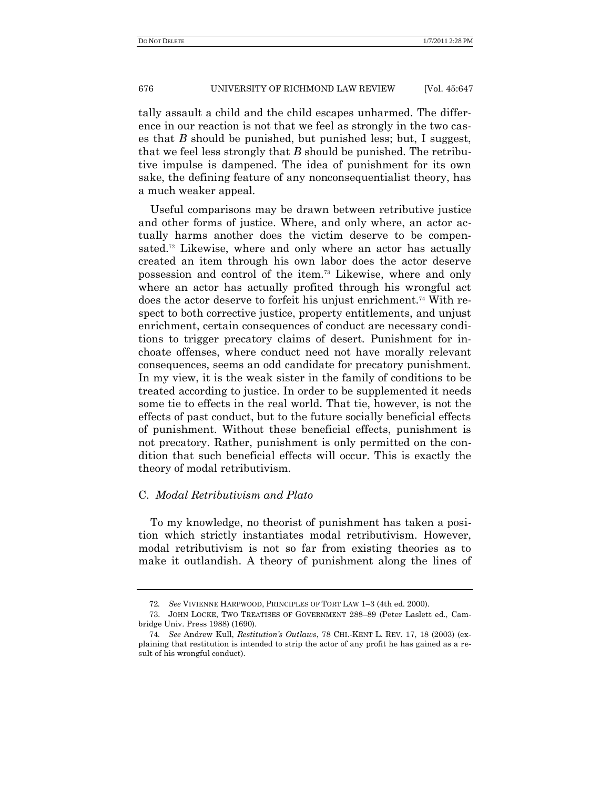tally assault a child and the child escapes unharmed. The difference in our reaction is not that we feel as strongly in the two cases that *B* should be punished, but punished less; but, I suggest, that we feel less strongly that *B* should be punished. The retributive impulse is dampened. The idea of punishment for its own sake, the defining feature of any nonconsequentialist theory, has a much weaker appeal.

Useful comparisons may be drawn between retributive justice and other forms of justice. Where, and only where, an actor actually harms another does the victim deserve to be compensated.<sup>72</sup> Likewise, where and only where an actor has actually created an item through his own labor does the actor deserve possession and control of the item.<sup>73</sup> Likewise, where and only where an actor has actually profited through his wrongful act does the actor deserve to forfeit his unjust enrichment.<sup>74</sup> With respect to both corrective justice, property entitlements, and unjust enrichment, certain consequences of conduct are necessary conditions to trigger precatory claims of desert. Punishment for inchoate offenses, where conduct need not have morally relevant consequences, seems an odd candidate for precatory punishment. In my view, it is the weak sister in the family of conditions to be treated according to justice. In order to be supplemented it needs some tie to effects in the real world. That tie, however, is not the effects of past conduct, but to the future socially beneficial effects of punishment. Without these beneficial effects, punishment is not precatory. Rather, punishment is only permitted on the condition that such beneficial effects will occur. This is exactly the theory of modal retributivism.

## C. *Modal Retributivism and Plato*

To my knowledge, no theorist of punishment has taken a position which strictly instantiates modal retributivism. However, modal retributivism is not so far from existing theories as to make it outlandish. A theory of punishment along the lines of

<sup>72</sup>*. See* VIVIENNE HARPWOOD, PRINCIPLES OF TORT LAW 1–3 (4th ed. 2000).

<sup>73.</sup> JOHN LOCKE, TWO TREATISES OF GOVERNMENT 288–89 (Peter Laslett ed., Cambridge Univ. Press 1988) (1690).

<sup>74</sup>*. See* Andrew Kull, *Restitution's Outlaws*, 78 CHI.-KENT L. REV. 17, 18 (2003) (explaining that restitution is intended to strip the actor of any profit he has gained as a result of his wrongful conduct).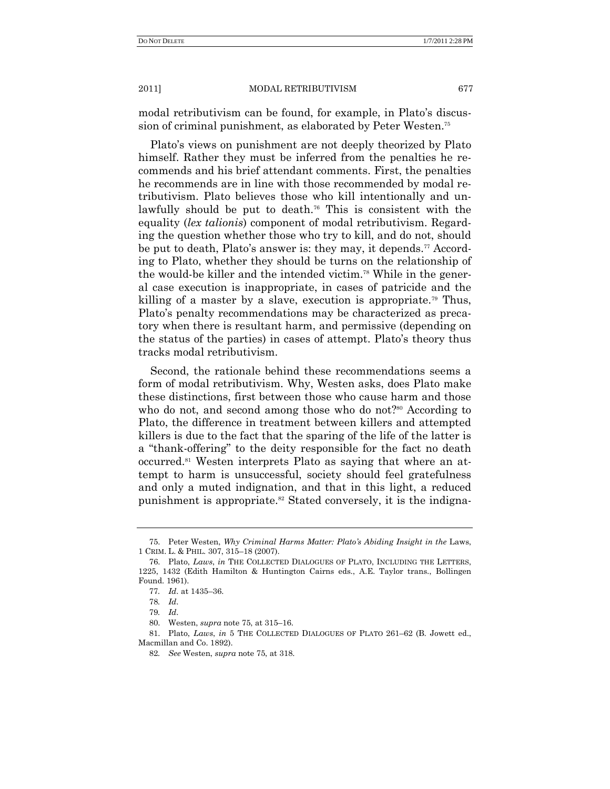modal retributivism can be found, for example, in Plato's discussion of criminal punishment, as elaborated by Peter Westen.<sup>75</sup>

Plato's views on punishment are not deeply theorized by Plato himself. Rather they must be inferred from the penalties he recommends and his brief attendant comments. First, the penalties he recommends are in line with those recommended by modal retributivism. Plato believes those who kill intentionally and unlawfully should be put to death.<sup>76</sup> This is consistent with the equality (*lex talionis*) component of modal retributivism. Regarding the question whether those who try to kill, and do not, should be put to death, Plato's answer is: they may, it depends.<sup>77</sup> According to Plato, whether they should be turns on the relationship of the would-be killer and the intended victim.<sup>78</sup> While in the general case execution is inappropriate, in cases of patricide and the killing of a master by a slave, execution is appropriate.<sup>79</sup> Thus, Plato's penalty recommendations may be characterized as precatory when there is resultant harm, and permissive (depending on the status of the parties) in cases of attempt. Plato's theory thus tracks modal retributivism.

Second, the rationale behind these recommendations seems a form of modal retributivism. Why, Westen asks, does Plato make these distinctions, first between those who cause harm and those who do not, and second among those who do not?<sup>80</sup> According to Plato, the difference in treatment between killers and attempted killers is due to the fact that the sparing of the life of the latter is a "thank-offering" to the deity responsible for the fact no death occurred.<sup>81</sup> Westen interprets Plato as saying that where an attempt to harm is unsuccessful, society should feel gratefulness and only a muted indignation, and that in this light, a reduced punishment is appropriate.<sup>82</sup> Stated conversely, it is the indigna-

<sup>75.</sup> Peter Westen, *Why Criminal Harms Matter: Plato's Abiding Insight in the* Laws, 1 CRIM. L. & PHIL. 307, 315–18 (2007).

<sup>76.</sup> Plato, *Laws*, *in* THE COLLECTED DIALOGUES OF PLATO, INCLUDING THE LETTERS, 1225, 1432 (Edith Hamilton & Huntington Cairns eds., A.E. Taylor trans., Bollingen Found. 1961).

<sup>77</sup>*. Id*. at 1435–36.

<sup>78</sup>*. Id*.

<sup>79</sup>*. Id*.

<sup>80.</sup> Westen, *supra* note 75, at 315–16.

<sup>81.</sup> Plato, *Laws*, *in* 5 THE COLLECTED DIALOGUES OF PLATO 261–62 (B. Jowett ed., Macmillan and Co. 1892).

<sup>82</sup>*. See* Westen, *supra* note 75, at 318.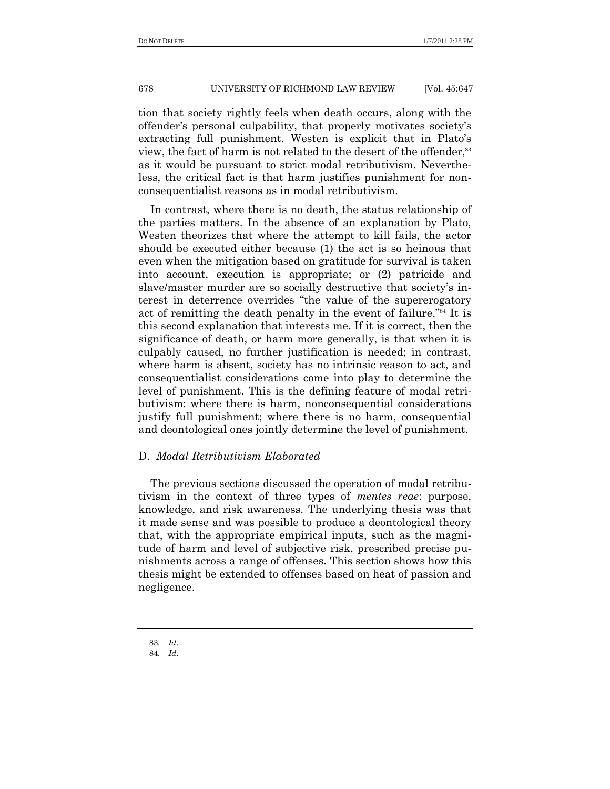tion that society rightly feels when death occurs, along with the offender's personal culpability, that properly motivates society's extracting full punishment. Westen is explicit that in Plato's view, the fact of harm is not related to the desert of the offender,<sup>83</sup> as it would be pursuant to strict modal retributivism. Nevertheless, the critical fact is that harm justifies punishment for nonconsequentialist reasons as in modal retributivism.

In contrast, where there is no death, the status relationship of the parties matters. In the absence of an explanation by Plato, Westen theorizes that where the attempt to kill fails, the actor should be executed either because (1) the act is so heinous that even when the mitigation based on gratitude for survival is taken into account, execution is appropriate; or (2) patricide and slave/master murder are so socially destructive that society's interest in deterrence overrides "the value of the supererogatory act of remitting the death penalty in the event of failure."<sup>84</sup> It is this second explanation that interests me. If it is correct, then the significance of death, or harm more generally, is that when it is culpably caused, no further justification is needed; in contrast, where harm is absent, society has no intrinsic reason to act, and consequentialist considerations come into play to determine the level of punishment. This is the defining feature of modal retributivism: where there is harm, nonconsequential considerations justify full punishment; where there is no harm, consequential and deontological ones jointly determine the level of punishment.

## D. *Modal Retributivism Elaborated*

The previous sections discussed the operation of modal retributivism in the context of three types of *mentes reae*: purpose, knowledge, and risk awareness. The underlying thesis was that it made sense and was possible to produce a deontological theory that, with the appropriate empirical inputs, such as the magnitude of harm and level of subjective risk, prescribed precise punishments across a range of offenses. This section shows how this thesis might be extended to offenses based on heat of passion and negligence.

<sup>83</sup>*. Id*.

<sup>84</sup>*. Id*.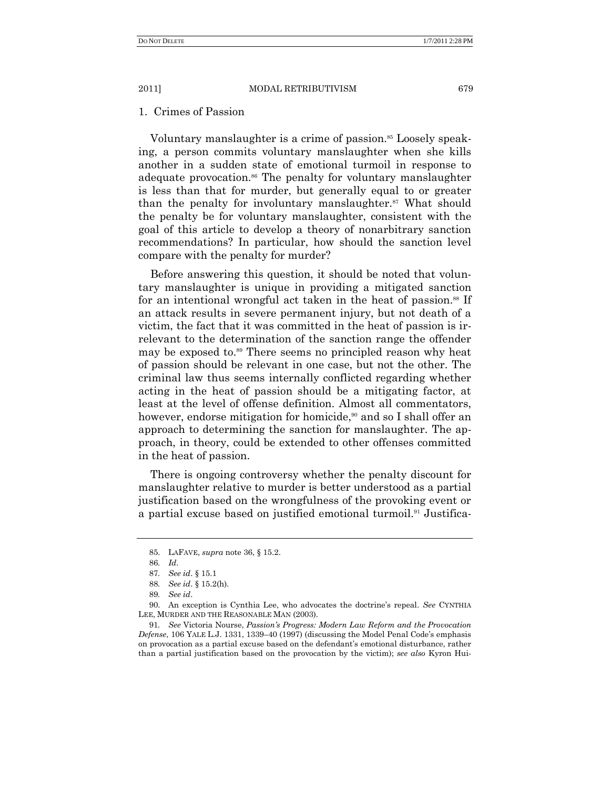## 1. Crimes of Passion

Voluntary manslaughter is a crime of passion.<sup>85</sup> Loosely speaking, a person commits voluntary manslaughter when she kills another in a sudden state of emotional turmoil in response to adequate provocation.<sup>86</sup> The penalty for voluntary manslaughter is less than that for murder, but generally equal to or greater than the penalty for involuntary manslaughter. $87$  What should the penalty be for voluntary manslaughter, consistent with the goal of this article to develop a theory of nonarbitrary sanction recommendations? In particular, how should the sanction level compare with the penalty for murder?

Before answering this question, it should be noted that voluntary manslaughter is unique in providing a mitigated sanction for an intentional wrongful act taken in the heat of passion.<sup>88</sup> If an attack results in severe permanent injury, but not death of a victim, the fact that it was committed in the heat of passion is irrelevant to the determination of the sanction range the offender may be exposed to.<sup>89</sup> There seems no principled reason why heat of passion should be relevant in one case, but not the other. The criminal law thus seems internally conflicted regarding whether acting in the heat of passion should be a mitigating factor, at least at the level of offense definition. Almost all commentators, however, endorse mitigation for homicide,<sup>90</sup> and so I shall offer an approach to determining the sanction for manslaughter. The approach, in theory, could be extended to other offenses committed in the heat of passion.

There is ongoing controversy whether the penalty discount for manslaughter relative to murder is better understood as a partial justification based on the wrongfulness of the provoking event or a partial excuse based on justified emotional turmoil.<sup>91</sup> Justifica-

<sup>85.</sup> LAFAVE, *supra* note 36, § 15.2.

<sup>86</sup>*. Id*.

<sup>87</sup>*. See id*. § 15.1

<sup>88</sup>*. See id*. § 15.2(h).

<sup>89</sup>*. See id*.

<sup>90.</sup> An exception is Cynthia Lee, who advocates the doctrine's repeal. *See* CYNTHIA LEE, MURDER AND THE REASONABLE MAN (2003).

<sup>91</sup>*. See* Victoria Nourse, *Passion's Progress: Modern Law Reform and the Provocation Defense*, 106 YALE L.J. 1331, 1339–40 (1997) (discussing the Model Penal Code's emphasis on provocation as a partial excuse based on the defendant's emotional disturbance, rather than a partial justification based on the provocation by the victim); *see also* Kyron Hui-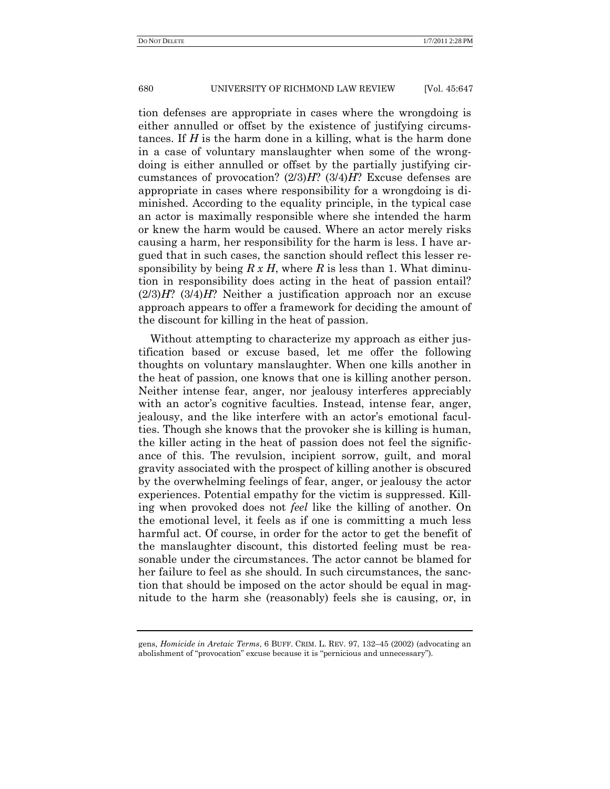tion defenses are appropriate in cases where the wrongdoing is either annulled or offset by the existence of justifying circumstances. If *H* is the harm done in a killing, what is the harm done in a case of voluntary manslaughter when some of the wrongdoing is either annulled or offset by the partially justifying circumstances of provocation? (2/3)*H*? (3/4)*H*? Excuse defenses are appropriate in cases where responsibility for a wrongdoing is diminished. According to the equality principle, in the typical case an actor is maximally responsible where she intended the harm or knew the harm would be caused. Where an actor merely risks causing a harm, her responsibility for the harm is less. I have argued that in such cases, the sanction should reflect this lesser responsibility by being  $R \times H$ , where  $R$  is less than 1. What diminution in responsibility does acting in the heat of passion entail? (2/3)*H*? (3/4)*H*? Neither a justification approach nor an excuse approach appears to offer a framework for deciding the amount of the discount for killing in the heat of passion.

Without attempting to characterize my approach as either justification based or excuse based, let me offer the following thoughts on voluntary manslaughter. When one kills another in the heat of passion, one knows that one is killing another person. Neither intense fear, anger, nor jealousy interferes appreciably with an actor's cognitive faculties. Instead, intense fear, anger, jealousy, and the like interfere with an actor's emotional faculties. Though she knows that the provoker she is killing is human, the killer acting in the heat of passion does not feel the significance of this. The revulsion, incipient sorrow, guilt, and moral gravity associated with the prospect of killing another is obscured by the overwhelming feelings of fear, anger, or jealousy the actor experiences. Potential empathy for the victim is suppressed. Killing when provoked does not *feel* like the killing of another. On the emotional level, it feels as if one is committing a much less harmful act. Of course, in order for the actor to get the benefit of the manslaughter discount, this distorted feeling must be reasonable under the circumstances. The actor cannot be blamed for her failure to feel as she should. In such circumstances, the sanction that should be imposed on the actor should be equal in magnitude to the harm she (reasonably) feels she is causing, or, in

gens, *Homicide in Aretaic Terms*, 6 BUFF. CRIM. L. REV. 97, 132–45 (2002) (advocating an abolishment of "provocation" excuse because it is "pernicious and unnecessary").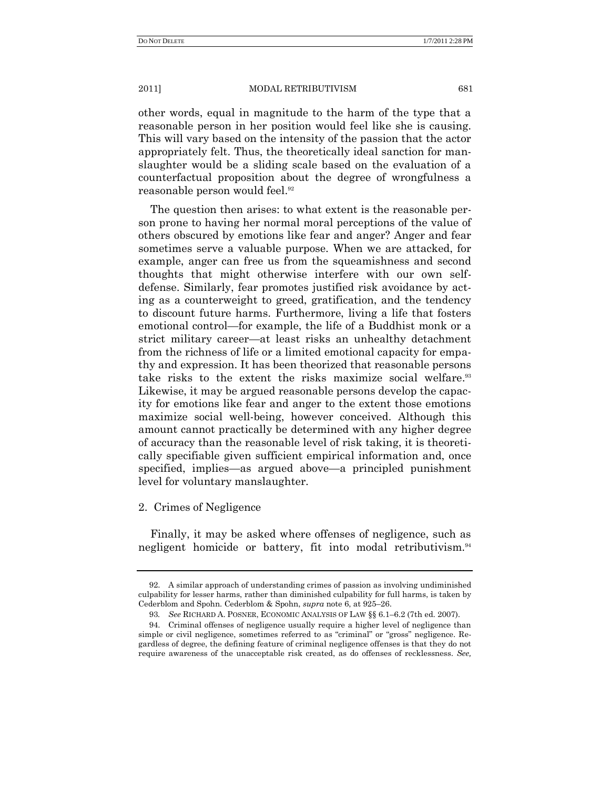other words, equal in magnitude to the harm of the type that a reasonable person in her position would feel like she is causing. This will vary based on the intensity of the passion that the actor appropriately felt. Thus, the theoretically ideal sanction for manslaughter would be a sliding scale based on the evaluation of a counterfactual proposition about the degree of wrongfulness a reasonable person would feel.<sup>92</sup>

The question then arises: to what extent is the reasonable person prone to having her normal moral perceptions of the value of others obscured by emotions like fear and anger? Anger and fear sometimes serve a valuable purpose. When we are attacked, for example, anger can free us from the squeamishness and second thoughts that might otherwise interfere with our own selfdefense. Similarly, fear promotes justified risk avoidance by acting as a counterweight to greed, gratification, and the tendency to discount future harms. Furthermore, living a life that fosters emotional control—for example, the life of a Buddhist monk or a strict military career—at least risks an unhealthy detachment from the richness of life or a limited emotional capacity for empathy and expression. It has been theorized that reasonable persons take risks to the extent the risks maximize social welfare.<sup>33</sup> Likewise, it may be argued reasonable persons develop the capacity for emotions like fear and anger to the extent those emotions maximize social well-being, however conceived. Although this amount cannot practically be determined with any higher degree of accuracy than the reasonable level of risk taking, it is theoretically specifiable given sufficient empirical information and, once specified, implies—as argued above—a principled punishment level for voluntary manslaughter.

#### 2. Crimes of Negligence

Finally, it may be asked where offenses of negligence, such as negligent homicide or battery, fit into modal retributivism.<sup>94</sup>

<sup>92.</sup> A similar approach of understanding crimes of passion as involving undiminished culpability for lesser harms, rather than diminished culpability for full harms, is taken by Cederblom and Spohn. Cederblom & Spohn, *supra* note 6, at 925–26.

<sup>93</sup>*. See* RICHARD A. POSNER, ECONOMIC ANALYSIS OF LAW §§ 6.1–6.2 (7th ed. 2007).

<sup>94.</sup> Criminal offenses of negligence usually require a higher level of negligence than simple or civil negligence, sometimes referred to as "criminal" or "gross" negligence. Regardless of degree, the defining feature of criminal negligence offenses is that they do not require awareness of the unacceptable risk created, as do offenses of recklessness. *See,*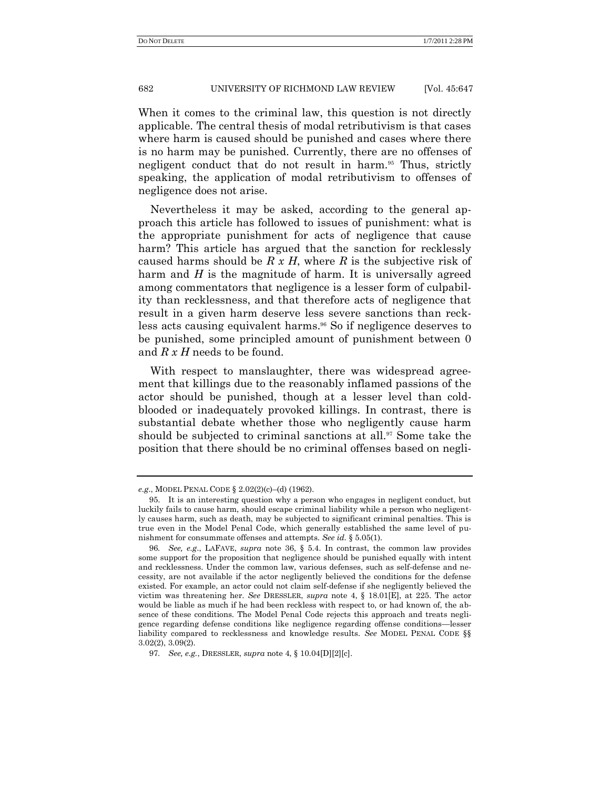When it comes to the criminal law, this question is not directly applicable. The central thesis of modal retributivism is that cases where harm is caused should be punished and cases where there is no harm may be punished. Currently, there are no offenses of negligent conduct that do not result in harm.<sup>95</sup> Thus, strictly speaking, the application of modal retributivism to offenses of negligence does not arise.

Nevertheless it may be asked, according to the general approach this article has followed to issues of punishment: what is the appropriate punishment for acts of negligence that cause harm? This article has argued that the sanction for recklessly caused harms should be *R x H*, where *R* is the subjective risk of harm and *H* is the magnitude of harm. It is universally agreed among commentators that negligence is a lesser form of culpability than recklessness, and that therefore acts of negligence that result in a given harm deserve less severe sanctions than reckless acts causing equivalent harms. <sup>96</sup> So if negligence deserves to be punished, some principled amount of punishment between 0 and *R x H* needs to be found.

With respect to manslaughter, there was widespread agreement that killings due to the reasonably inflamed passions of the actor should be punished, though at a lesser level than coldblooded or inadequately provoked killings. In contrast, there is substantial debate whether those who negligently cause harm should be subjected to criminal sanctions at all.<sup>97</sup> Some take the position that there should be no criminal offenses based on negli-

*e.g*., MODEL PENAL CODE § 2.02(2)(c)–(d) (1962).

<sup>95.</sup> It is an interesting question why a person who engages in negligent conduct, but luckily fails to cause harm, should escape criminal liability while a person who negligently causes harm, such as death, may be subjected to significant criminal penalties. This is true even in the Model Penal Code, which generally established the same level of punishment for consummate offenses and attempts. *See id.* § 5.05(1).

<sup>96</sup>*. See, e.g*., LAFAVE, *supra* note 36, § 5.4. In contrast, the common law provides some support for the proposition that negligence should be punished equally with intent and recklessness. Under the common law, various defenses, such as self-defense and necessity, are not available if the actor negligently believed the conditions for the defense existed. For example, an actor could not claim self-defense if she negligently believed the victim was threatening her. *See* DRESSLER, *supra* note 4, § 18.01[E], at 225. The actor would be liable as much if he had been reckless with respect to, or had known of, the absence of these conditions. The Model Penal Code rejects this approach and treats negligence regarding defense conditions like negligence regarding offense conditions—lesser liability compared to recklessness and knowledge results. *See* MODEL PENAL CODE §§ 3.02(2), 3.09(2).

<sup>97</sup>*. See, e.g.*, DRESSLER, *supra* note 4, § 10.04[D][2][c].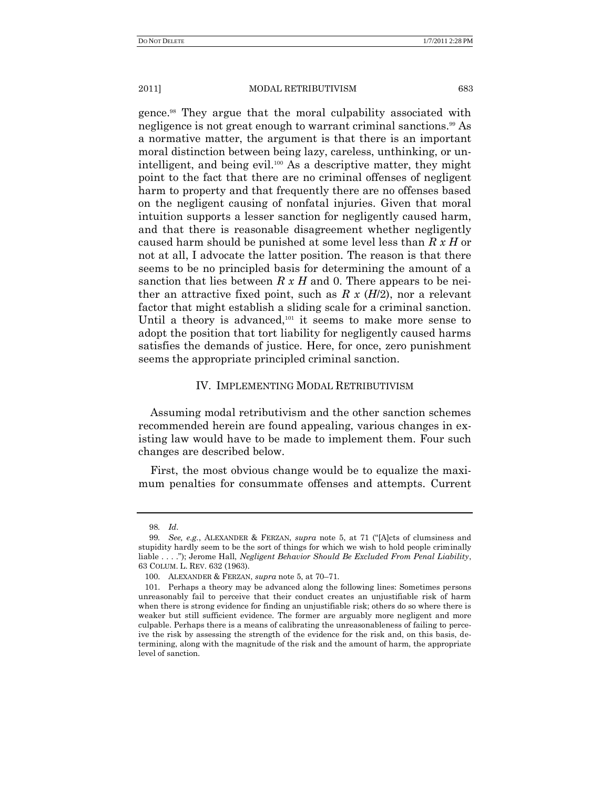gence.<sup>98</sup> They argue that the moral culpability associated with negligence is not great enough to warrant criminal sanctions.<sup>99</sup> As a normative matter, the argument is that there is an important moral distinction between being lazy, careless, unthinking, or unintelligent, and being evil.<sup>100</sup> As a descriptive matter, they might point to the fact that there are no criminal offenses of negligent harm to property and that frequently there are no offenses based on the negligent causing of nonfatal injuries. Given that moral intuition supports a lesser sanction for negligently caused harm, and that there is reasonable disagreement whether negligently caused harm should be punished at some level less than *R x H* or not at all, I advocate the latter position. The reason is that there seems to be no principled basis for determining the amount of a sanction that lies between *R x H* and 0. There appears to be neither an attractive fixed point, such as *R x* (*H*/2), nor a relevant factor that might establish a sliding scale for a criminal sanction. Until a theory is advanced, $101$  it seems to make more sense to adopt the position that tort liability for negligently caused harms satisfies the demands of justice. Here, for once, zero punishment seems the appropriate principled criminal sanction.

## IV. IMPLEMENTING MODAL RETRIBUTIVISM

Assuming modal retributivism and the other sanction schemes recommended herein are found appealing, various changes in existing law would have to be made to implement them. Four such changes are described below.

First, the most obvious change would be to equalize the maximum penalties for consummate offenses and attempts. Current

<sup>98</sup>*. Id*.

<sup>99.</sup> *See, e.g.*, ALEXANDER & FERZAN, *supra* note 5, at 71 ("[A]cts of clumsiness and stupidity hardly seem to be the sort of things for which we wish to hold people criminally liable . . . ."); Jerome Hall, *Negligent Behavior Should Be Excluded From Penal Liability*, 63 COLUM. L. REV. 632 (1963).

<sup>100.</sup> ALEXANDER & FERZAN, *supra* note 5, at 70–71.

<sup>101.</sup> Perhaps a theory may be advanced along the following lines: Sometimes persons unreasonably fail to perceive that their conduct creates an unjustifiable risk of harm when there is strong evidence for finding an unjustifiable risk; others do so where there is weaker but still sufficient evidence. The former are arguably more negligent and more culpable. Perhaps there is a means of calibrating the unreasonableness of failing to perceive the risk by assessing the strength of the evidence for the risk and, on this basis, determining, along with the magnitude of the risk and the amount of harm, the appropriate level of sanction.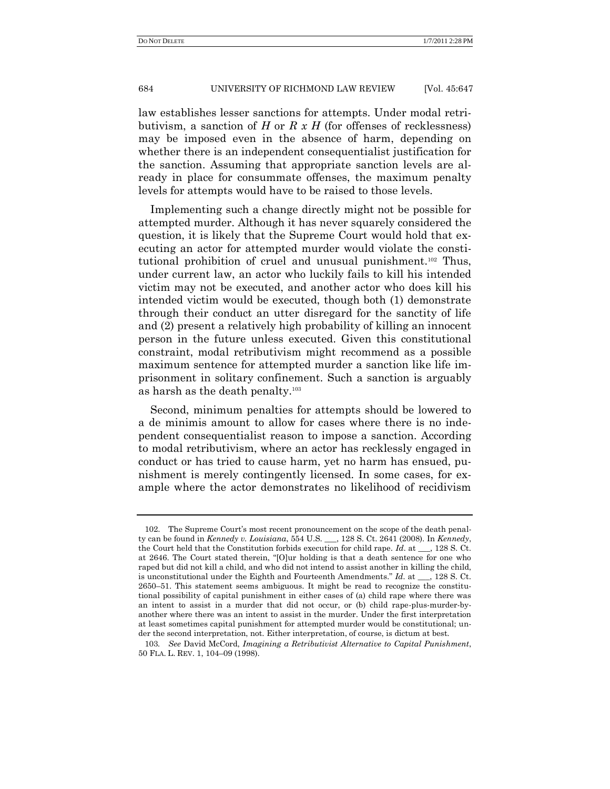law establishes lesser sanctions for attempts. Under modal retributivism, a sanction of *H* or *R x H* (for offenses of recklessness) may be imposed even in the absence of harm, depending on whether there is an independent consequentialist justification for the sanction. Assuming that appropriate sanction levels are already in place for consummate offenses, the maximum penalty levels for attempts would have to be raised to those levels.

Implementing such a change directly might not be possible for attempted murder. Although it has never squarely considered the question, it is likely that the Supreme Court would hold that executing an actor for attempted murder would violate the constitutional prohibition of cruel and unusual punishment.<sup>102</sup> Thus, under current law, an actor who luckily fails to kill his intended victim may not be executed, and another actor who does kill his intended victim would be executed, though both (1) demonstrate through their conduct an utter disregard for the sanctity of life and (2) present a relatively high probability of killing an innocent person in the future unless executed. Given this constitutional constraint, modal retributivism might recommend as a possible maximum sentence for attempted murder a sanction like life imprisonment in solitary confinement. Such a sanction is arguably as harsh as the death penalty.<sup>103</sup>

Second, minimum penalties for attempts should be lowered to a de minimis amount to allow for cases where there is no independent consequentialist reason to impose a sanction. According to modal retributivism, where an actor has recklessly engaged in conduct or has tried to cause harm, yet no harm has ensued, punishment is merely contingently licensed. In some cases, for example where the actor demonstrates no likelihood of recidivism

<sup>102.</sup> The Supreme Court's most recent pronouncement on the scope of the death penalty can be found in *Kennedy v. Louisiana*, 554 U.S. \_\_\_, 128 S. Ct. 2641 (2008). In *Kennedy*, the Court held that the Constitution forbids execution for child rape. *Id*. at \_\_\_, 128 S. Ct. at 2646. The Court stated therein, "[O]ur holding is that a death sentence for one who raped but did not kill a child, and who did not intend to assist another in killing the child, is unconstitutional under the Eighth and Fourteenth Amendments." *Id.* at \_\_, 128 S. Ct. 2650–51. This statement seems ambiguous. It might be read to recognize the constitutional possibility of capital punishment in either cases of (a) child rape where there was an intent to assist in a murder that did not occur, or (b) child rape-plus-murder-byanother where there was an intent to assist in the murder. Under the first interpretation at least sometimes capital punishment for attempted murder would be constitutional; under the second interpretation, not. Either interpretation, of course, is dictum at best.

<sup>103</sup>*. See* David McCord, *Imagining a Retributivist Alternative to Capital Punishment*, 50 FLA. L. REV. 1, 104–09 (1998).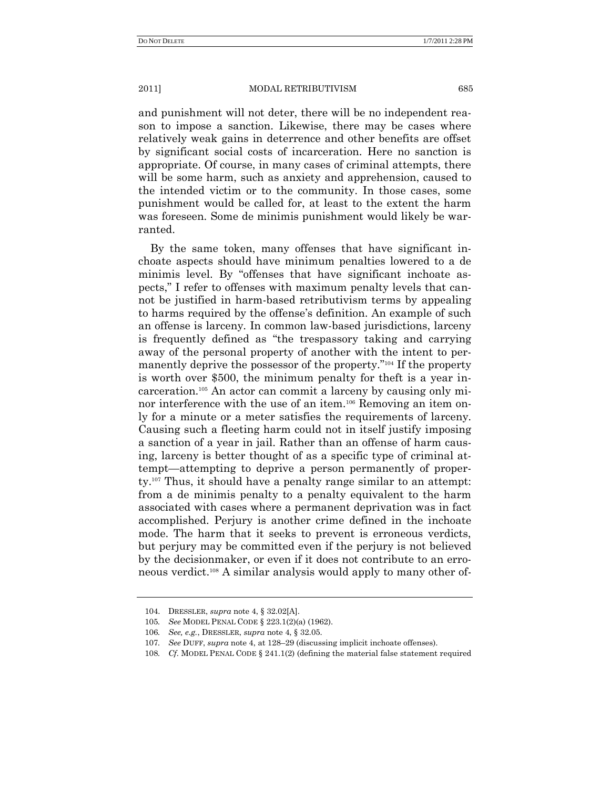and punishment will not deter, there will be no independent reason to impose a sanction. Likewise, there may be cases where relatively weak gains in deterrence and other benefits are offset by significant social costs of incarceration. Here no sanction is appropriate. Of course, in many cases of criminal attempts, there will be some harm, such as anxiety and apprehension, caused to the intended victim or to the community. In those cases, some punishment would be called for, at least to the extent the harm was foreseen. Some de minimis punishment would likely be warranted.

By the same token, many offenses that have significant inchoate aspects should have minimum penalties lowered to a de minimis level. By "offenses that have significant inchoate aspects," I refer to offenses with maximum penalty levels that cannot be justified in harm-based retributivism terms by appealing to harms required by the offense's definition. An example of such an offense is larceny. In common law-based jurisdictions, larceny is frequently defined as "the trespassory taking and carrying away of the personal property of another with the intent to permanently deprive the possessor of the property."<sup>104</sup> If the property is worth over \$500, the minimum penalty for theft is a year incarceration.<sup>105</sup> An actor can commit a larceny by causing only minor interference with the use of an item.<sup>106</sup> Removing an item only for a minute or a meter satisfies the requirements of larceny. Causing such a fleeting harm could not in itself justify imposing a sanction of a year in jail. Rather than an offense of harm causing, larceny is better thought of as a specific type of criminal attempt—attempting to deprive a person permanently of property.<sup>107</sup> Thus, it should have a penalty range similar to an attempt: from a de minimis penalty to a penalty equivalent to the harm associated with cases where a permanent deprivation was in fact accomplished. Perjury is another crime defined in the inchoate mode. The harm that it seeks to prevent is erroneous verdicts, but perjury may be committed even if the perjury is not believed by the decisionmaker, or even if it does not contribute to an erroneous verdict. <sup>108</sup> A similar analysis would apply to many other of-

<sup>104.</sup> DRESSLER, *supra* note 4, § 32.02[A].

<sup>105</sup>*. See* MODEL PENAL CODE § 223.1(2)(a) (1962).

<sup>106</sup>*. See, e.g.*, DRESSLER, *supra* note 4, § 32.05.

<sup>107</sup>*. See* DUFF, *supra* note 4, at 128–29 (discussing implicit inchoate offenses).

<sup>108</sup>*. Cf*. MODEL PENAL CODE § 241.1(2) (defining the material false statement required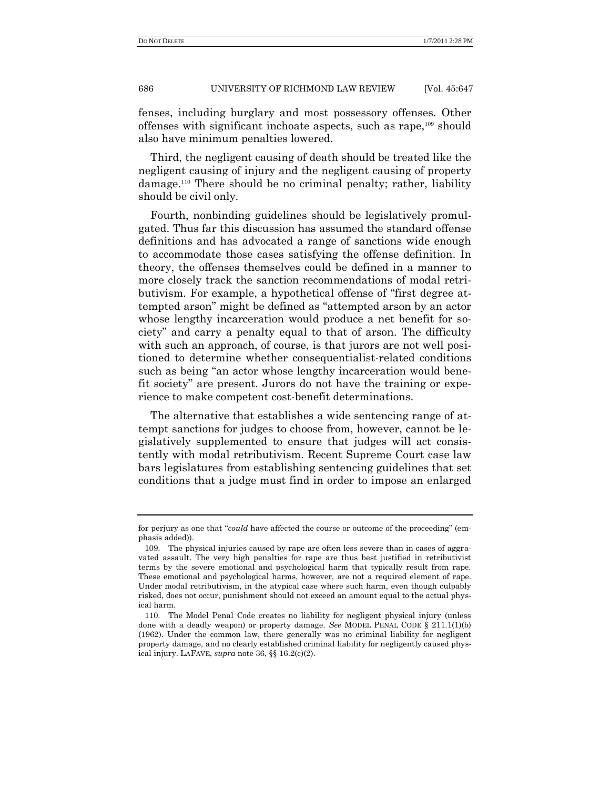fenses, including burglary and most possessory offenses. Other offenses with significant inchoate aspects, such as rape,<sup>109</sup> should also have minimum penalties lowered.

Third, the negligent causing of death should be treated like the negligent causing of injury and the negligent causing of property damage.<sup>110</sup> There should be no criminal penalty; rather, liability should be civil only.

Fourth, nonbinding guidelines should be legislatively promulgated. Thus far this discussion has assumed the standard offense definitions and has advocated a range of sanctions wide enough to accommodate those cases satisfying the offense definition. In theory, the offenses themselves could be defined in a manner to more closely track the sanction recommendations of modal retributivism. For example, a hypothetical offense of "first degree attempted arson" might be defined as "attempted arson by an actor whose lengthy incarceration would produce a net benefit for society" and carry a penalty equal to that of arson. The difficulty with such an approach, of course, is that jurors are not well positioned to determine whether consequentialist-related conditions such as being "an actor whose lengthy incarceration would benefit society" are present. Jurors do not have the training or experience to make competent cost-benefit determinations.

The alternative that establishes a wide sentencing range of attempt sanctions for judges to choose from, however, cannot be legislatively supplemented to ensure that judges will act consistently with modal retributivism. Recent Supreme Court case law bars legislatures from establishing sentencing guidelines that set conditions that a judge must find in order to impose an enlarged

for perjury as one that "*could* have affected the course or outcome of the proceeding" (emphasis added)).

<sup>109.</sup> The physical injuries caused by rape are often less severe than in cases of aggravated assault. The very high penalties for rape are thus best justified in retributivist terms by the severe emotional and psychological harm that typically result from rape. These emotional and psychological harms, however, are not a required element of rape. Under modal retributivism, in the atypical case where such harm, even though culpably risked, does not occur, punishment should not exceed an amount equal to the actual physical harm.

<sup>110.</sup> The Model Penal Code creates no liability for negligent physical injury (unless done with a deadly weapon) or property damage. *See* MODEL PENAL CODE § 211.1(1)(b) (1962). Under the common law, there generally was no criminal liability for negligent property damage, and no clearly established criminal liability for negligently caused physical injury. LAFAVE, *supra* note 36, §§ 16.2(c)(2).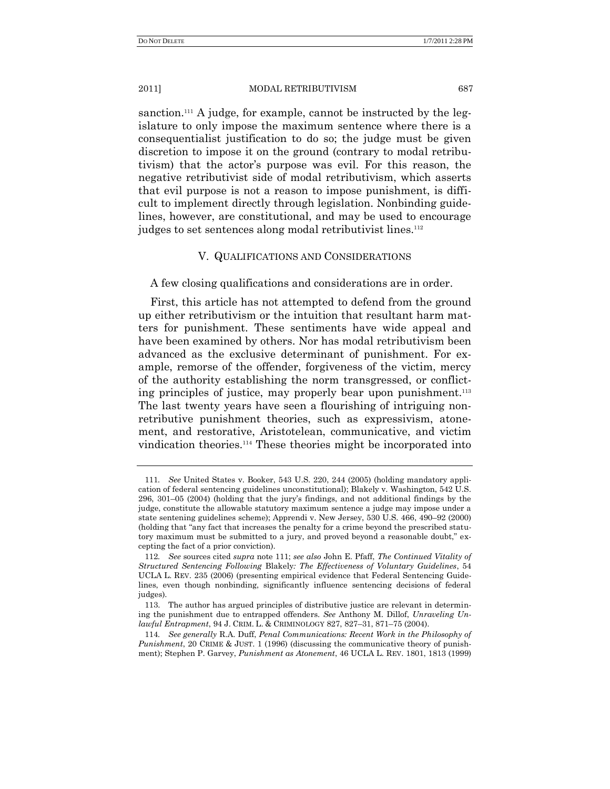sanction.<sup>111</sup> A judge, for example, cannot be instructed by the legislature to only impose the maximum sentence where there is a consequentialist justification to do so; the judge must be given discretion to impose it on the ground (contrary to modal retributivism) that the actor's purpose was evil. For this reason, the negative retributivist side of modal retributivism, which asserts that evil purpose is not a reason to impose punishment, is difficult to implement directly through legislation. Nonbinding guidelines, however, are constitutional, and may be used to encourage judges to set sentences along modal retributivist lines.<sup>112</sup>

## V. QUALIFICATIONS AND CONSIDERATIONS

A few closing qualifications and considerations are in order.

First, this article has not attempted to defend from the ground up either retributivism or the intuition that resultant harm matters for punishment. These sentiments have wide appeal and have been examined by others. Nor has modal retributivism been advanced as the exclusive determinant of punishment. For example, remorse of the offender, forgiveness of the victim, mercy of the authority establishing the norm transgressed, or conflicting principles of justice, may properly bear upon punishment.<sup>113</sup> The last twenty years have seen a flourishing of intriguing nonretributive punishment theories, such as expressivism, atonement, and restorative, Aristotelean, communicative, and victim vindication theories.<sup>114</sup> These theories might be incorporated into

<sup>111</sup>*. See* United States v. Booker, 543 U.S. 220, 244 (2005) (holding mandatory application of federal sentencing guidelines unconstitutional); Blakely v. Washington, 542 U.S. 296, 301–05 (2004) (holding that the jury's findings, and not additional findings by the judge, constitute the allowable statutory maximum sentence a judge may impose under a state sentening guidelines scheme); Apprendi v. New Jersey, 530 U.S. 466, 490–92 (2000) (holding that "any fact that increases the penalty for a crime beyond the prescribed statutory maximum must be submitted to a jury, and proved beyond a reasonable doubt," excepting the fact of a prior conviction).

<sup>112</sup>*. See* sources cited *supra* note 111; *see also* John E. Pfaff, *The Continued Vitality of Structured Sentencing Following* Blakely*: The Effectiveness of Voluntary Guidelines*, 54 UCLA L. REV. 235 (2006) (presenting empirical evidence that Federal Sentencing Guidelines, even though nonbinding, significantly influence sentencing decisions of federal judges).

<sup>113.</sup> The author has argued principles of distributive justice are relevant in determining the punishment due to entrapped offenders. *See* Anthony M. Dillof, *Unraveling Unlawful Entrapment*, 94 J. CRIM. L. & CRIMINOLOGY 827, 827–31, 871–75 (2004).

<sup>114</sup>*. See generally* R.A. Duff, *Penal Communications: Recent Work in the Philosophy of Punishment*, 20 CRIME & JUST. 1 (1996) (discussing the communicative theory of punishment); Stephen P. Garvey, *Punishment as Atonement*, 46 UCLA L. REV. 1801, 1813 (1999)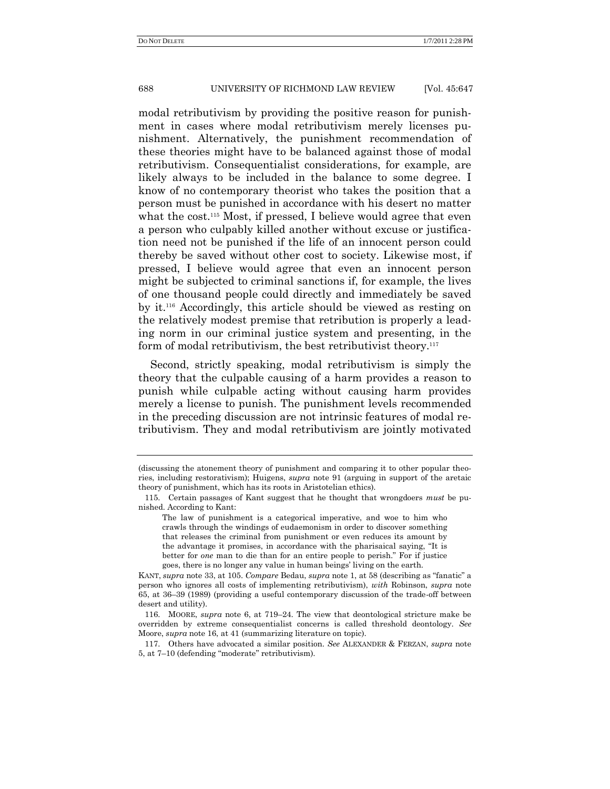modal retributivism by providing the positive reason for punishment in cases where modal retributivism merely licenses punishment. Alternatively, the punishment recommendation of these theories might have to be balanced against those of modal retributivism. Consequentialist considerations, for example, are likely always to be included in the balance to some degree. I know of no contemporary theorist who takes the position that a person must be punished in accordance with his desert no matter what the cost.<sup>115</sup> Most, if pressed, I believe would agree that even a person who culpably killed another without excuse or justification need not be punished if the life of an innocent person could thereby be saved without other cost to society. Likewise most, if pressed, I believe would agree that even an innocent person might be subjected to criminal sanctions if, for example, the lives of one thousand people could directly and immediately be saved by it.<sup>116</sup> Accordingly, this article should be viewed as resting on the relatively modest premise that retribution is properly a leading norm in our criminal justice system and presenting, in the form of modal retributivism, the best retributivist theory.<sup>117</sup>

Second, strictly speaking, modal retributivism is simply the theory that the culpable causing of a harm provides a reason to punish while culpable acting without causing harm provides merely a license to punish. The punishment levels recommended in the preceding discussion are not intrinsic features of modal retributivism. They and modal retributivism are jointly motivated

<sup>(</sup>discussing the atonement theory of punishment and comparing it to other popular theories, including restorativism); Huigens, *supra* note 91 (arguing in support of the aretaic theory of punishment, which has its roots in Aristotelian ethics).

<sup>115.</sup> Certain passages of Kant suggest that he thought that wrongdoers *must* be punished. According to Kant:

The law of punishment is a categorical imperative, and woe to him who crawls through the windings of eudaemonism in order to discover something that releases the criminal from punishment or even reduces its amount by the advantage it promises, in accordance with the pharisaical saying, "It is better for *one* man to die than for an entire people to perish." For if justice goes, there is no longer any value in human beings' living on the earth.

KANT, *supra* note 33, at 105. *Compare* Bedau, *supra* note 1, at 58 (describing as "fanatic" a person who ignores all costs of implementing retributivism), *with* Robinson, *supra* note 65, at 36–39 (1989) (providing a useful contemporary discussion of the trade-off between desert and utility).

<sup>116.</sup> MOORE, *supra* note 6, at 719–24. The view that deontological stricture make be overridden by extreme consequentialist concerns is called threshold deontology. *See* Moore, *supra* note 16, at 41 (summarizing literature on topic).

<sup>117.</sup> Others have advocated a similar position. *See* ALEXANDER & FERZAN, *supra* note 5, at 7-10 (defending "moderate" retributivism).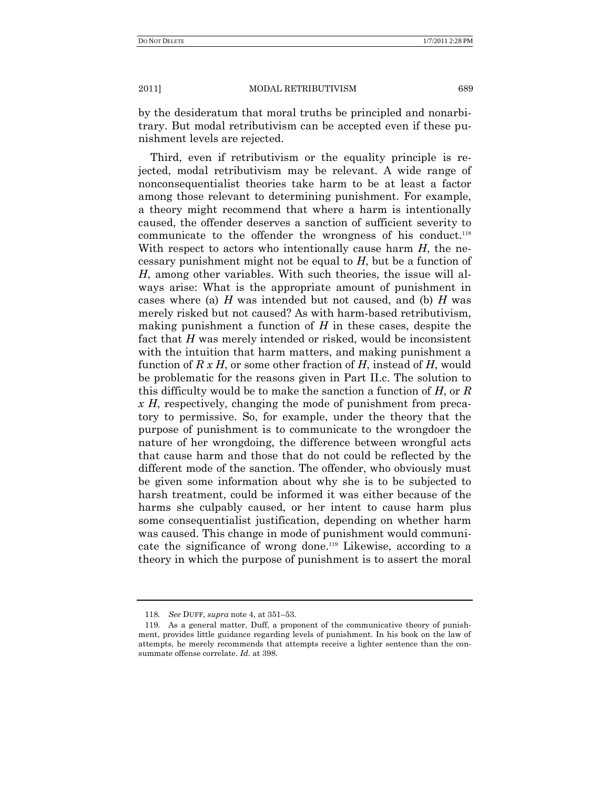by the desideratum that moral truths be principled and nonarbitrary. But modal retributivism can be accepted even if these punishment levels are rejected.

Third, even if retributivism or the equality principle is rejected, modal retributivism may be relevant. A wide range of nonconsequentialist theories take harm to be at least a factor among those relevant to determining punishment. For example, a theory might recommend that where a harm is intentionally caused, the offender deserves a sanction of sufficient severity to communicate to the offender the wrongness of his conduct.<sup>118</sup> With respect to actors who intentionally cause harm *H*, the necessary punishment might not be equal to *H*, but be a function of *H*, among other variables. With such theories, the issue will always arise: What is the appropriate amount of punishment in cases where (a) *H* was intended but not caused, and (b) *H* was merely risked but not caused? As with harm-based retributivism, making punishment a function of *H* in these cases, despite the fact that *H* was merely intended or risked, would be inconsistent with the intuition that harm matters, and making punishment a function of *R x H*, or some other fraction of *H*, instead of *H*, would be problematic for the reasons given in Part II.c. The solution to this difficulty would be to make the sanction a function of *H*, or *R x H*, respectively, changing the mode of punishment from precatory to permissive. So, for example, under the theory that the purpose of punishment is to communicate to the wrongdoer the nature of her wrongdoing, the difference between wrongful acts that cause harm and those that do not could be reflected by the different mode of the sanction. The offender, who obviously must be given some information about why she is to be subjected to harsh treatment, could be informed it was either because of the harms she culpably caused, or her intent to cause harm plus some consequentialist justification, depending on whether harm was caused. This change in mode of punishment would communicate the significance of wrong done.<sup>119</sup> Likewise, according to a theory in which the purpose of punishment is to assert the moral

<sup>118</sup>*. See* DUFF, *supra* note 4, at 351–53.

<sup>119.</sup> As a general matter, Duff, a proponent of the communicative theory of punishment, provides little guidance regarding levels of punishment. In his book on the law of attempts, he merely recommends that attempts receive a lighter sentence than the consummate offense correlate. *Id*. at 398.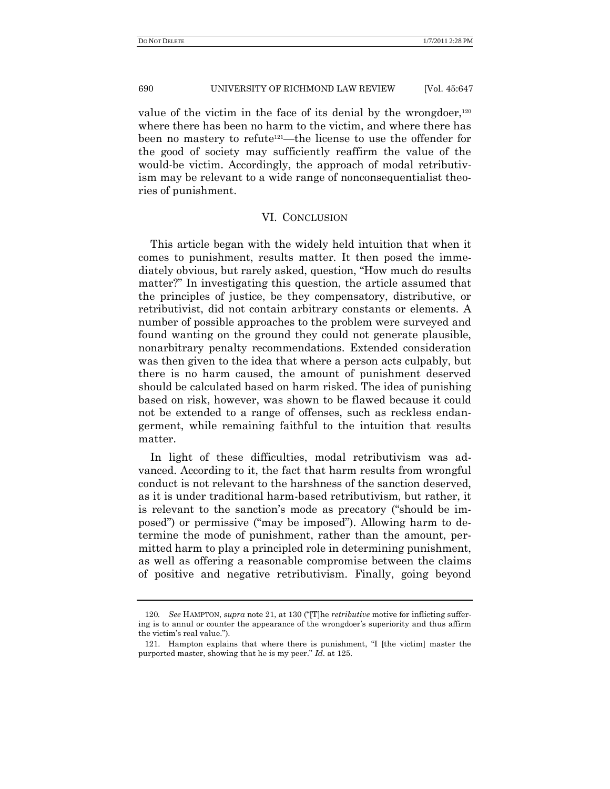value of the victim in the face of its denial by the wrongdoer, $120$ where there has been no harm to the victim, and where there has been no mastery to refute121—the license to use the offender for the good of society may sufficiently reaffirm the value of the would-be victim. Accordingly, the approach of modal retributivism may be relevant to a wide range of nonconsequentialist theories of punishment.

#### VI. CONCLUSION

This article began with the widely held intuition that when it comes to punishment, results matter. It then posed the immediately obvious, but rarely asked, question, "How much do results" matter?" In investigating this question, the article assumed that the principles of justice, be they compensatory, distributive, or retributivist, did not contain arbitrary constants or elements. A number of possible approaches to the problem were surveyed and found wanting on the ground they could not generate plausible, nonarbitrary penalty recommendations. Extended consideration was then given to the idea that where a person acts culpably, but there is no harm caused, the amount of punishment deserved should be calculated based on harm risked. The idea of punishing based on risk, however, was shown to be flawed because it could not be extended to a range of offenses, such as reckless endangerment, while remaining faithful to the intuition that results matter.

In light of these difficulties, modal retributivism was advanced. According to it, the fact that harm results from wrongful conduct is not relevant to the harshness of the sanction deserved, as it is under traditional harm-based retributivism, but rather, it is relevant to the sanction's mode as precatory ("should be imposed") or permissive ("may be imposed"). Allowing harm to determine the mode of punishment, rather than the amount, permitted harm to play a principled role in determining punishment, as well as offering a reasonable compromise between the claims of positive and negative retributivism. Finally, going beyond

<sup>120.</sup> *See* HAMPTON, *supra* note 21, at 130 ("[T]he *retributive* motive for inflicting suffering is to annul or counter the appearance of the wrongdoer's superiority and thus affirm the victim's real value.").

<sup>121.</sup> Hampton explains that where there is punishment, "I [the victim] master the purported master, showing that he is my peer." *Id.* at 125.